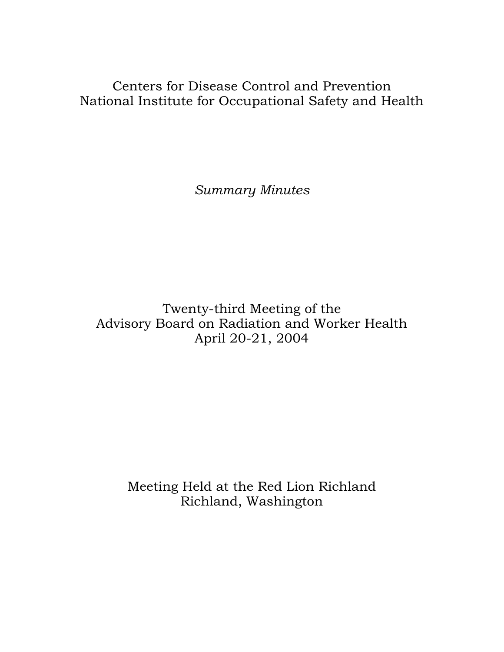Centers for Disease Control and Prevention National Institute for Occupational Safety and Health

*Summary Minutes*

Twenty-third Meeting of the Advisory Board on Radiation and Worker Health April 20-21, 2004

Meeting Held at the Red Lion Richland Richland, Washington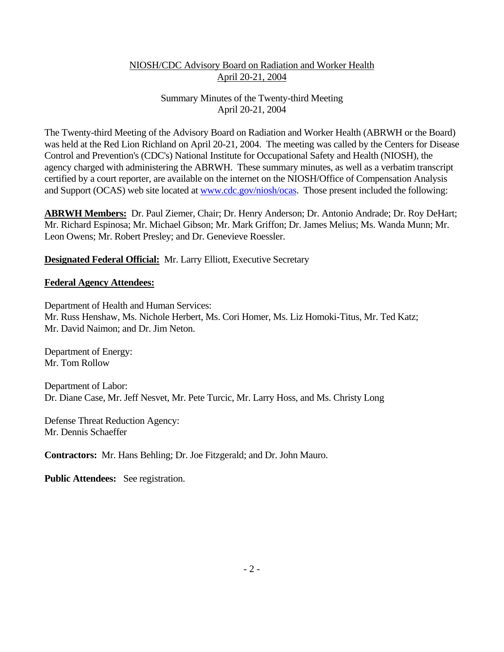### Summary Minutes of the Twenty-third Meeting April 20-21, 2004

The Twenty-third Meeting of the Advisory Board on Radiation and Worker Health (ABRWH or the Board) was held at the Red Lion Richland on April 20-21, 2004. The meeting was called by the Centers for Disease Control and Prevention's (CDC's) National Institute for Occupational Safety and Health (NIOSH), the agency charged with administering the ABRWH. These summary minutes, as well as a verbatim transcript certified by a court reporter, are available on the internet on the NIOSH/Office of Compensation Analysis and Support (OCAS) web site located at www.cdc.gov/niosh/ocas. Those present included the following:

**ABRWH Members:** Dr. Paul Ziemer, Chair; Dr. Henry Anderson; Dr. Antonio Andrade; Dr. Roy DeHart; Mr. Richard Espinosa; Mr. Michael Gibson; Mr. Mark Griffon; Dr. James Melius; Ms. Wanda Munn; Mr. Leon Owens; Mr. Robert Presley; and Dr. Genevieve Roessler.

### **Designated Federal Official:** Mr. Larry Elliott, Executive Secretary

#### **Federal Agency Attendees:**

Department of Health and Human Services: Mr. Russ Henshaw, Ms. Nichole Herbert, Ms. Cori Homer, Ms. Liz Homoki-Titus, Mr. Ted Katz; Mr. David Naimon; and Dr. Jim Neton.

Department of Energy: Mr. Tom Rollow

Department of Labor: Dr. Diane Case, Mr. Jeff Nesvet, Mr. Pete Turcic, Mr. Larry Hoss, and Ms. Christy Long

Defense Threat Reduction Agency: Mr. Dennis Schaeffer

**Contractors:** Mr. Hans Behling; Dr. Joe Fitzgerald; and Dr. John Mauro.

**Public Attendees:** See registration.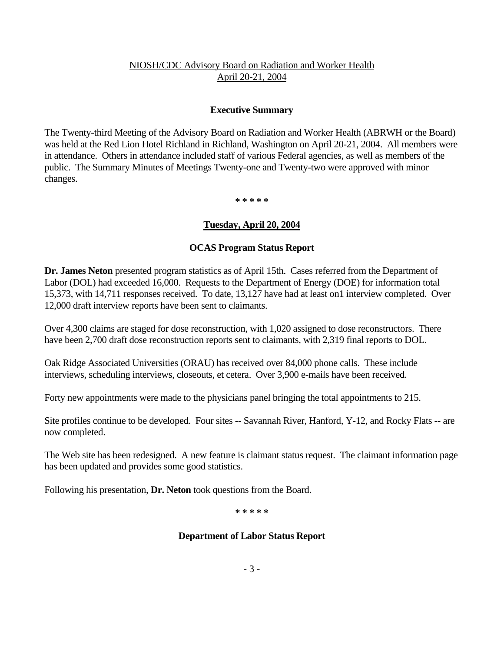#### **Executive Summary**

The Twenty-third Meeting of the Advisory Board on Radiation and Worker Health (ABRWH or the Board) was held at the Red Lion Hotel Richland in Richland, Washington on April 20-21, 2004. All members were in attendance. Others in attendance included staff of various Federal agencies, as well as members of the public. The Summary Minutes of Meetings Twenty-one and Twenty-two were approved with minor changes.

 **\* \* \* \* \***

#### **Tuesday, April 20, 2004**

#### **OCAS Program Status Report**

**Dr. James Neton** presented program statistics as of April 15th. Cases referred from the Department of Labor (DOL) had exceeded 16,000. Requests to the Department of Energy (DOE) for information total 15,373, with 14,711 responses received. To date, 13,127 have had at least on1 interview completed. Over 12,000 draft interview reports have been sent to claimants.

Over 4,300 claims are staged for dose reconstruction, with 1,020 assigned to dose reconstructors. There have been 2,700 draft dose reconstruction reports sent to claimants, with 2,319 final reports to DOL.

Oak Ridge Associated Universities (ORAU) has received over 84,000 phone calls. These include interviews, scheduling interviews, closeouts, et cetera. Over 3,900 e-mails have been received.

Forty new appointments were made to the physicians panel bringing the total appointments to 215.

Site profiles continue to be developed. Four sites -- Savannah River, Hanford, Y-12, and Rocky Flats -- are now completed.

The Web site has been redesigned. A new feature is claimant status request. The claimant information page has been updated and provides some good statistics.

Following his presentation, **Dr. Neton** took questions from the Board.

 **\* \* \* \* \***

#### **Department of Labor Status Report**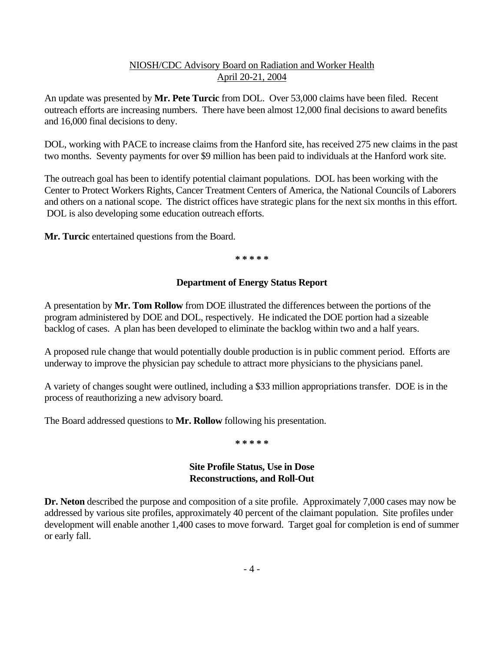An update was presented by **Mr. Pete Turcic** from DOL. Over 53,000 claims have been filed. Recent outreach efforts are increasing numbers. There have been almost 12,000 final decisions to award benefits and 16,000 final decisions to deny.

DOL, working with PACE to increase claims from the Hanford site, has received 275 new claims in the past two months. Seventy payments for over \$9 million has been paid to individuals at the Hanford work site.

The outreach goal has been to identify potential claimant populations. DOL has been working with the Center to Protect Workers Rights, Cancer Treatment Centers of America, the National Councils of Laborers and others on a national scope. The district offices have strategic plans for the next six months in this effort. DOL is also developing some education outreach efforts.

**Mr. Turcic** entertained questions from the Board.

 **\* \* \* \* \***

### **Department of Energy Status Report**

A presentation by **Mr. Tom Rollow** from DOE illustrated the differences between the portions of the program administered by DOE and DOL, respectively. He indicated the DOE portion had a sizeable backlog of cases. A plan has been developed to eliminate the backlog within two and a half years.

A proposed rule change that would potentially double production is in public comment period. Efforts are underway to improve the physician pay schedule to attract more physicians to the physicians panel.

A variety of changes sought were outlined, including a \$33 million appropriations transfer. DOE is in the process of reauthorizing a new advisory board.

The Board addressed questions to **Mr. Rollow** following his presentation.

 **\* \* \* \* \***

### **Site Profile Status, Use in Dose Reconstructions, and Roll-Out**

**Dr. Neton** described the purpose and composition of a site profile. Approximately 7,000 cases may now be addressed by various site profiles, approximately 40 percent of the claimant population. Site profiles under development will enable another 1,400 cases to move forward. Target goal for completion is end of summer or early fall.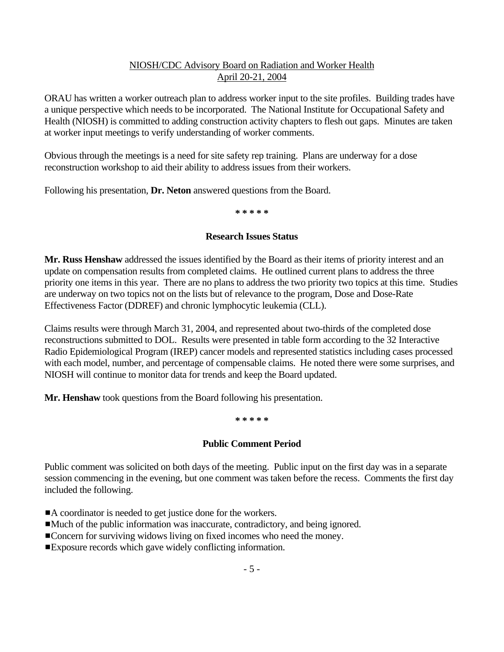ORAU has written a worker outreach plan to address worker input to the site profiles. Building trades have a unique perspective which needs to be incorporated. The National Institute for Occupational Safety and Health (NIOSH) is committed to adding construction activity chapters to flesh out gaps. Minutes are taken at worker input meetings to verify understanding of worker comments.

Obvious through the meetings is a need for site safety rep training. Plans are underway for a dose reconstruction workshop to aid their ability to address issues from their workers.

Following his presentation, **Dr. Neton** answered questions from the Board.

**\* \* \* \* \***

### **Research Issues Status**

**Mr. Russ Henshaw** addressed the issues identified by the Board as their items of priority interest and an update on compensation results from completed claims. He outlined current plans to address the three priority one items in this year. There are no plans to address the two priority two topics at this time. Studies are underway on two topics not on the lists but of relevance to the program, Dose and Dose-Rate Effectiveness Factor (DDREF) and chronic lymphocytic leukemia (CLL).

Claims results were through March 31, 2004, and represented about two-thirds of the completed dose reconstructions submitted to DOL. Results were presented in table form according to the 32 Interactive Radio Epidemiological Program (IREP) cancer models and represented statistics including cases processed with each model, number, and percentage of compensable claims. He noted there were some surprises, and NIOSH will continue to monitor data for trends and keep the Board updated.

**Mr. Henshaw** took questions from the Board following his presentation.

**\* \* \* \* \***

### **Public Comment Period**

Public comment was solicited on both days of the meeting. Public input on the first day was in a separate session commencing in the evening, but one comment was taken before the recess. Comments the first day included the following.

- ■A coordinator is needed to get justice done for the workers.
- #Much of the public information was inaccurate, contradictory, and being ignored.
- ■Concern for surviving widows living on fixed incomes who need the money.
- Exposure records which gave widely conflicting information.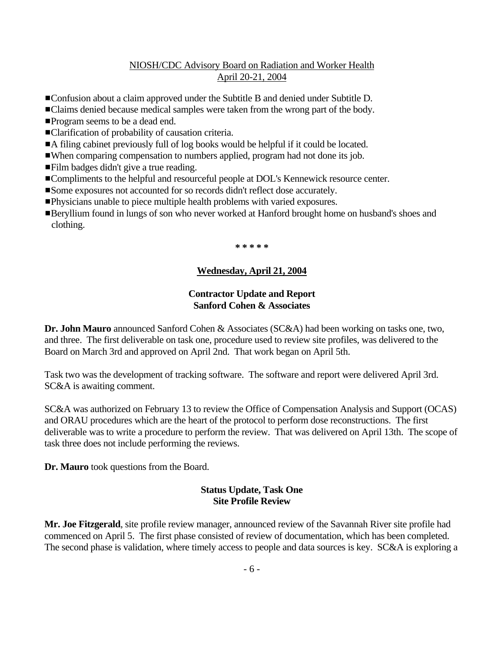- **Confusion about a claim approved under the Subtitle B and denied under Subtitle D.**
- ■Claims denied because medical samples were taken from the wrong part of the body.
- **Program seems to be a dead end.**
- ■Clarification of probability of causation criteria.
- A filing cabinet previously full of log books would be helpful if it could be located.
- #When comparing compensation to numbers applied, program had not done its job.
- **Film badges didn't give a true reading.**
- **Examplements to the helpful and resourceful people at DOL's Kennewick resource center.**
- Some exposures not accounted for so records didn't reflect dose accurately.
- **Physicians unable to piece multiple health problems with varied exposures.**
- **Example 1** Beryllium found in lungs of son who never worked at Hanford brought home on husband's shoes and clothing.

 **\* \* \* \* \***

### **Wednesday, April 21, 2004**

#### **Contractor Update and Report Sanford Cohen & Associates**

**Dr. John Mauro** announced Sanford Cohen & Associates (SC&A) had been working on tasks one, two, and three. The first deliverable on task one, procedure used to review site profiles, was delivered to the Board on March 3rd and approved on April 2nd. That work began on April 5th.

Task two was the development of tracking software. The software and report were delivered April 3rd. SC&A is awaiting comment.

SC&A was authorized on February 13 to review the Office of Compensation Analysis and Support (OCAS) and ORAU procedures which are the heart of the protocol to perform dose reconstructions. The first deliverable was to write a procedure to perform the review. That was delivered on April 13th. The scope of task three does not include performing the reviews.

**Dr. Mauro** took questions from the Board.

### **Status Update, Task One Site Profile Review**

**Mr. Joe Fitzgerald**, site profile review manager, announced review of the Savannah River site profile had commenced on April 5. The first phase consisted of review of documentation, which has been completed. The second phase is validation, where timely access to people and data sources is key. SC&A is exploring a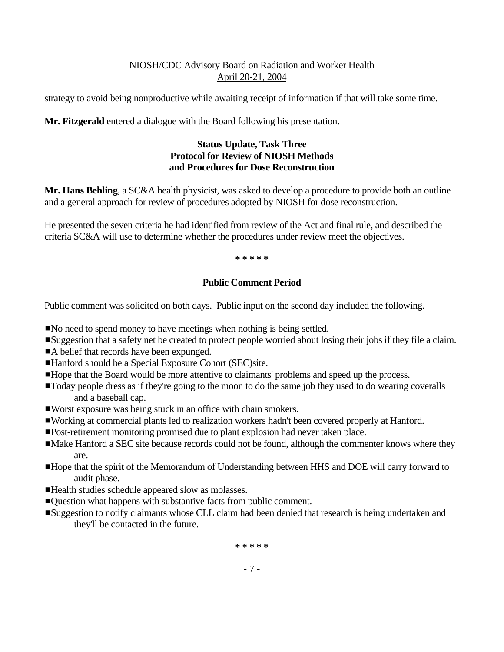strategy to avoid being nonproductive while awaiting receipt of information if that will take some time.

**Mr. Fitzgerald** entered a dialogue with the Board following his presentation.

### **Status Update, Task Three Protocol for Review of NIOSH Methods and Procedures for Dose Reconstruction**

**Mr. Hans Behling**, a SC&A health physicist, was asked to develop a procedure to provide both an outline and a general approach for review of procedures adopted by NIOSH for dose reconstruction.

He presented the seven criteria he had identified from review of the Act and final rule, and described the criteria SC&A will use to determine whether the procedures under review meet the objectives.

 **\* \* \* \* \***

# **Public Comment Period**

Public comment was solicited on both days. Public input on the second day included the following.

- No need to spend money to have meetings when nothing is being settled.
- Suggestion that a safety net be created to protect people worried about losing their jobs if they file a claim.
- A belief that records have been expunged.
- ■Hanford should be a Special Exposure Cohort (SEC)site.
- Hope that the Board would be more attentive to claimants' problems and speed up the process.
- Today people dress as if they're going to the moon to do the same job they used to do wearing coveralls and a baseball cap.
- ■Worst exposure was being stuck in an office with chain smokers.
- #Working at commercial plants led to realization workers hadn't been covered properly at Hanford.
- **Post-retirement monitoring promised due to plant explosion had never taken place.**
- Make Hanford a SEC site because records could not be found, although the commenter knows where they are.
- **Hope that the spirit of the Memorandum of Understanding between HHS and DOE will carry forward to** audit phase.
- Health studies schedule appeared slow as molasses.
- **Example 1** Question what happens with substantive facts from public comment.
- Suggestion to notify claimants whose CLL claim had been denied that research is being undertaken and they'll be contacted in the future.

**\* \* \* \* \***

- 7 -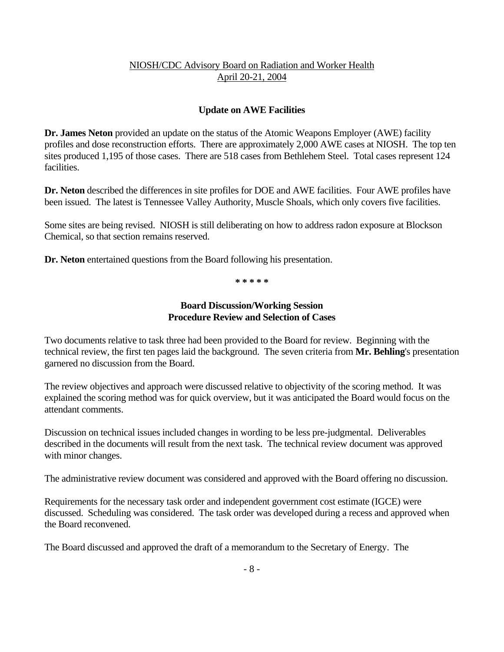### **Update on AWE Facilities**

**Dr. James Neton** provided an update on the status of the Atomic Weapons Employer (AWE) facility profiles and dose reconstruction efforts. There are approximately 2,000 AWE cases at NIOSH. The top ten sites produced 1,195 of those cases. There are 518 cases from Bethlehem Steel. Total cases represent 124 facilities.

**Dr. Neton** described the differences in site profiles for DOE and AWE facilities. Four AWE profiles have been issued. The latest is Tennessee Valley Authority, Muscle Shoals, which only covers five facilities.

Some sites are being revised. NIOSH is still deliberating on how to address radon exposure at Blockson Chemical, so that section remains reserved.

Dr. Neton entertained questions from the Board following his presentation.

 **\* \* \* \* \***

### **Board Discussion/Working Session Procedure Review and Selection of Cases**

Two documents relative to task three had been provided to the Board for review. Beginning with the technical review, the first ten pages laid the background. The seven criteria from **Mr. Behling**'s presentation garnered no discussion from the Board.

The review objectives and approach were discussed relative to objectivity of the scoring method. It was explained the scoring method was for quick overview, but it was anticipated the Board would focus on the attendant comments.

Discussion on technical issues included changes in wording to be less pre-judgmental. Deliverables described in the documents will result from the next task. The technical review document was approved with minor changes.

The administrative review document was considered and approved with the Board offering no discussion.

Requirements for the necessary task order and independent government cost estimate (IGCE) were discussed. Scheduling was considered. The task order was developed during a recess and approved when the Board reconvened.

The Board discussed and approved the draft of a memorandum to the Secretary of Energy. The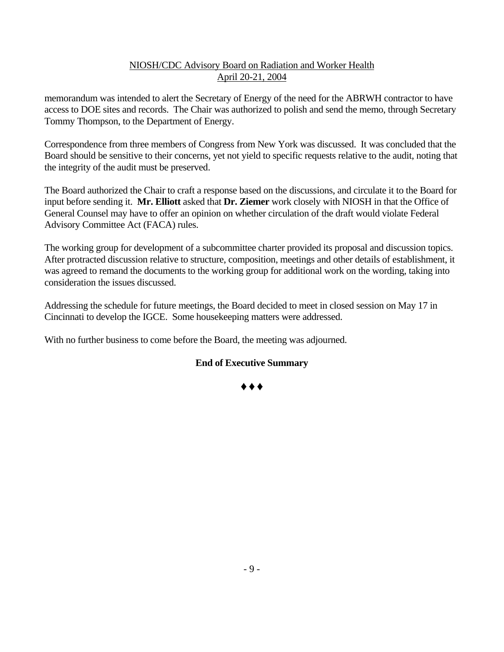memorandum was intended to alert the Secretary of Energy of the need for the ABRWH contractor to have access to DOE sites and records. The Chair was authorized to polish and send the memo, through Secretary Tommy Thompson, to the Department of Energy.

Correspondence from three members of Congress from New York was discussed. It was concluded that the Board should be sensitive to their concerns, yet not yield to specific requests relative to the audit, noting that the integrity of the audit must be preserved.

The Board authorized the Chair to craft a response based on the discussions, and circulate it to the Board for input before sending it. **Mr. Elliott** asked that **Dr. Ziemer** work closely with NIOSH in that the Office of General Counsel may have to offer an opinion on whether circulation of the draft would violate Federal Advisory Committee Act (FACA) rules.

The working group for development of a subcommittee charter provided its proposal and discussion topics. After protracted discussion relative to structure, composition, meetings and other details of establishment, it was agreed to remand the documents to the working group for additional work on the wording, taking into consideration the issues discussed.

Addressing the schedule for future meetings, the Board decided to meet in closed session on May 17 in Cincinnati to develop the IGCE. Some housekeeping matters were addressed.

With no further business to come before the Board, the meeting was adjourned.

# **End of Executive Summary**

Ë Ë Ë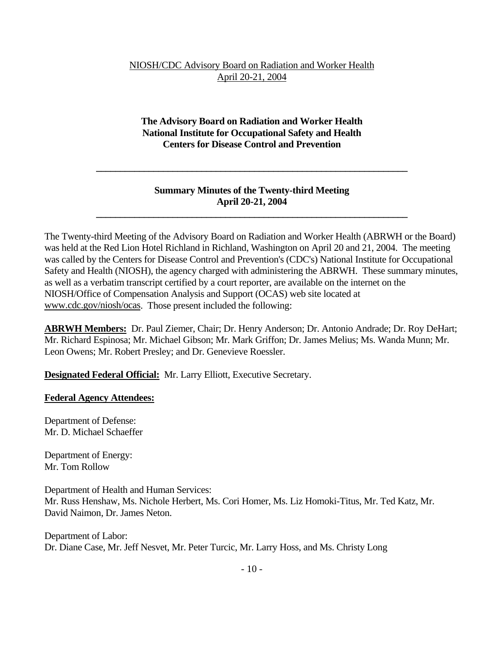### **The Advisory Board on Radiation and Worker Health National Institute for Occupational Safety and Health Centers for Disease Control and Prevention**

### **Summary Minutes of the Twenty-third Meeting April 20-21, 2004**

 **\_\_\_\_\_\_\_\_\_\_\_\_\_\_\_\_\_\_\_\_\_\_\_\_\_\_\_\_\_\_\_\_\_\_\_\_\_\_\_\_\_\_\_\_\_\_\_\_\_\_\_\_\_\_\_\_\_\_\_\_\_\_\_\_\_** 

 **\_\_\_\_\_\_\_\_\_\_\_\_\_\_\_\_\_\_\_\_\_\_\_\_\_\_\_\_\_\_\_\_\_\_\_\_\_\_\_\_\_\_\_\_\_\_\_\_\_\_\_\_\_\_\_\_\_\_\_\_\_\_\_\_\_**

The Twenty-third Meeting of the Advisory Board on Radiation and Worker Health (ABRWH or the Board) was held at the Red Lion Hotel Richland in Richland, Washington on April 20 and 21, 2004. The meeting was called by the Centers for Disease Control and Prevention's (CDC's) National Institute for Occupational Safety and Health (NIOSH), the agency charged with administering the ABRWH. These summary minutes, as well as a verbatim transcript certified by a court reporter, are available on the internet on the NIOSH/Office of Compensation Analysis and Support (OCAS) web site located at www.cdc.gov/niosh/ocas. Those present included the following:

**ABRWH Members:** Dr. Paul Ziemer, Chair; Dr. Henry Anderson; Dr. Antonio Andrade; Dr. Roy DeHart; Mr. Richard Espinosa; Mr. Michael Gibson; Mr. Mark Griffon; Dr. James Melius; Ms. Wanda Munn; Mr. Leon Owens; Mr. Robert Presley; and Dr. Genevieve Roessler.

**Designated Federal Official:** Mr. Larry Elliott, Executive Secretary.

#### **Federal Agency Attendees:**

Department of Defense: Mr. D. Michael Schaeffer

Department of Energy: Mr. Tom Rollow

Department of Health and Human Services: Mr. Russ Henshaw, Ms. Nichole Herbert, Ms. Cori Homer, Ms. Liz Homoki-Titus, Mr. Ted Katz, Mr. David Naimon, Dr. James Neton.

Department of Labor: Dr. Diane Case, Mr. Jeff Nesvet, Mr. Peter Turcic, Mr. Larry Hoss, and Ms. Christy Long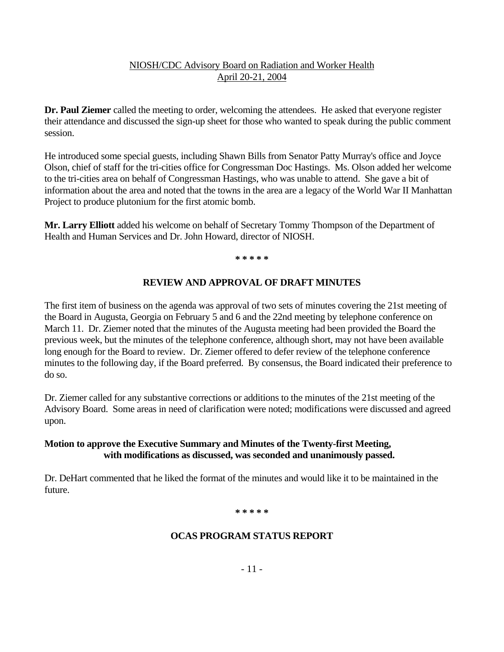**Dr. Paul Ziemer** called the meeting to order, welcoming the attendees. He asked that everyone register their attendance and discussed the sign-up sheet for those who wanted to speak during the public comment session.

He introduced some special guests, including Shawn Bills from Senator Patty Murray's office and Joyce Olson, chief of staff for the tri-cities office for Congressman Doc Hastings. Ms. Olson added her welcome to the tri-cities area on behalf of Congressman Hastings, who was unable to attend. She gave a bit of information about the area and noted that the towns in the area are a legacy of the World War II Manhattan Project to produce plutonium for the first atomic bomb.

**Mr. Larry Elliott** added his welcome on behalf of Secretary Tommy Thompson of the Department of Health and Human Services and Dr. John Howard, director of NIOSH.

 **\* \* \* \* \***

### **REVIEW AND APPROVAL OF DRAFT MINUTES**

The first item of business on the agenda was approval of two sets of minutes covering the 21st meeting of the Board in Augusta, Georgia on February 5 and 6 and the 22nd meeting by telephone conference on March 11. Dr. Ziemer noted that the minutes of the Augusta meeting had been provided the Board the previous week, but the minutes of the telephone conference, although short, may not have been available long enough for the Board to review. Dr. Ziemer offered to defer review of the telephone conference minutes to the following day, if the Board preferred. By consensus, the Board indicated their preference to do so.

Dr. Ziemer called for any substantive corrections or additions to the minutes of the 21st meeting of the Advisory Board. Some areas in need of clarification were noted; modifications were discussed and agreed upon.

### **Motion to approve the Executive Summary and Minutes of the Twenty-first Meeting, with modifications as discussed, was seconded and unanimously passed.**

Dr. DeHart commented that he liked the format of the minutes and would like it to be maintained in the future.

### **\* \* \* \* \***

#### **OCAS PROGRAM STATUS REPORT**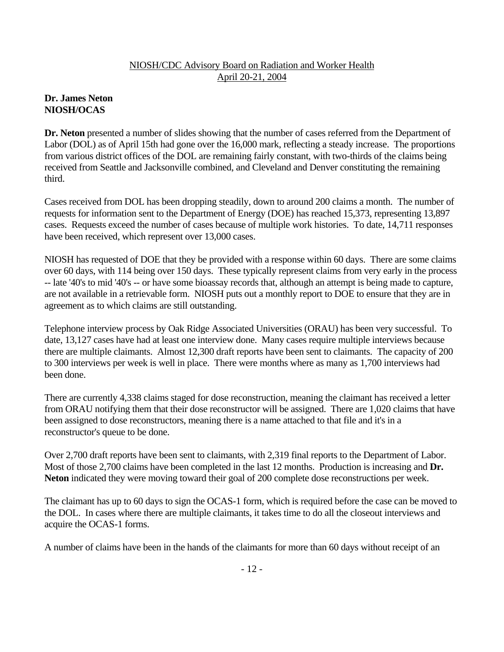# **Dr. James Neton NIOSH/OCAS**

**Dr. Neton** presented a number of slides showing that the number of cases referred from the Department of Labor (DOL) as of April 15th had gone over the 16,000 mark, reflecting a steady increase. The proportions from various district offices of the DOL are remaining fairly constant, with two-thirds of the claims being received from Seattle and Jacksonville combined, and Cleveland and Denver constituting the remaining third.

Cases received from DOL has been dropping steadily, down to around 200 claims a month. The number of requests for information sent to the Department of Energy (DOE) has reached 15,373, representing 13,897 cases. Requests exceed the number of cases because of multiple work histories. To date, 14,711 responses have been received, which represent over 13,000 cases.

NIOSH has requested of DOE that they be provided with a response within 60 days. There are some claims over 60 days, with 114 being over 150 days. These typically represent claims from very early in the process -- late '40's to mid '40's -- or have some bioassay records that, although an attempt is being made to capture, are not available in a retrievable form. NIOSH puts out a monthly report to DOE to ensure that they are in agreement as to which claims are still outstanding.

Telephone interview process by Oak Ridge Associated Universities (ORAU) has been very successful. To date, 13,127 cases have had at least one interview done. Many cases require multiple interviews because there are multiple claimants. Almost 12,300 draft reports have been sent to claimants. The capacity of 200 to 300 interviews per week is well in place. There were months where as many as 1,700 interviews had been done.

There are currently 4,338 claims staged for dose reconstruction, meaning the claimant has received a letter from ORAU notifying them that their dose reconstructor will be assigned. There are 1,020 claims that have been assigned to dose reconstructors, meaning there is a name attached to that file and it's in a reconstructor's queue to be done.

Over 2,700 draft reports have been sent to claimants, with 2,319 final reports to the Department of Labor. Most of those 2,700 claims have been completed in the last 12 months. Production is increasing and **Dr. Neton** indicated they were moving toward their goal of 200 complete dose reconstructions per week.

The claimant has up to 60 days to sign the OCAS-1 form, which is required before the case can be moved to the DOL. In cases where there are multiple claimants, it takes time to do all the closeout interviews and acquire the OCAS-1 forms.

A number of claims have been in the hands of the claimants for more than 60 days without receipt of an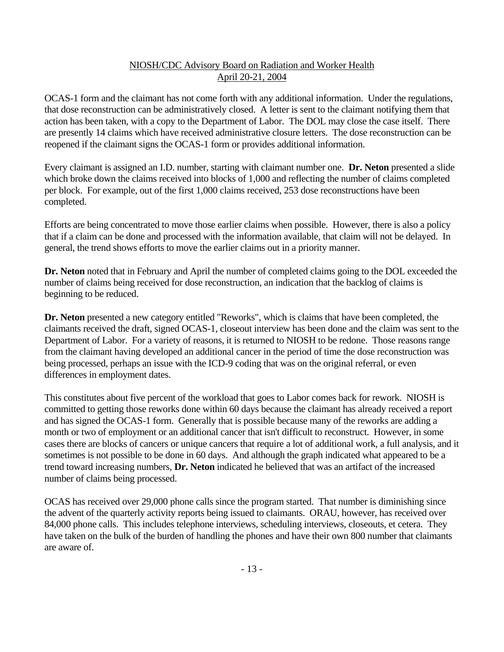OCAS-1 form and the claimant has not come forth with any additional information. Under the regulations, that dose reconstruction can be administratively closed. A letter is sent to the claimant notifying them that action has been taken, with a copy to the Department of Labor. The DOL may close the case itself. There are presently 14 claims which have received administrative closure letters. The dose reconstruction can be reopened if the claimant signs the OCAS-1 form or provides additional information.

Every claimant is assigned an I.D. number, starting with claimant number one. **Dr. Neton** presented a slide which broke down the claims received into blocks of 1,000 and reflecting the number of claims completed per block. For example, out of the first 1,000 claims received, 253 dose reconstructions have been completed.

Efforts are being concentrated to move those earlier claims when possible. However, there is also a policy that if a claim can be done and processed with the information available, that claim will not be delayed. In general, the trend shows efforts to move the earlier claims out in a priority manner.

**Dr. Neton** noted that in February and April the number of completed claims going to the DOL exceeded the number of claims being received for dose reconstruction, an indication that the backlog of claims is beginning to be reduced.

**Dr. Neton** presented a new category entitled "Reworks", which is claims that have been completed, the claimants received the draft, signed OCAS-1, closeout interview has been done and the claim was sent to the Department of Labor. For a variety of reasons, it is returned to NIOSH to be redone. Those reasons range from the claimant having developed an additional cancer in the period of time the dose reconstruction was being processed, perhaps an issue with the ICD-9 coding that was on the original referral, or even differences in employment dates.

This constitutes about five percent of the workload that goes to Labor comes back for rework. NIOSH is committed to getting those reworks done within 60 days because the claimant has already received a report and has signed the OCAS-1 form. Generally that is possible because many of the reworks are adding a month or two of employment or an additional cancer that isn't difficult to reconstruct. However, in some cases there are blocks of cancers or unique cancers that require a lot of additional work, a full analysis, and it sometimes is not possible to be done in 60 days. And although the graph indicated what appeared to be a trend toward increasing numbers, **Dr. Neton** indicated he believed that was an artifact of the increased number of claims being processed.

OCAS has received over 29,000 phone calls since the program started. That number is diminishing since the advent of the quarterly activity reports being issued to claimants. ORAU, however, has received over 84,000 phone calls. This includes telephone interviews, scheduling interviews, closeouts, et cetera. They have taken on the bulk of the burden of handling the phones and have their own 800 number that claimants are aware of.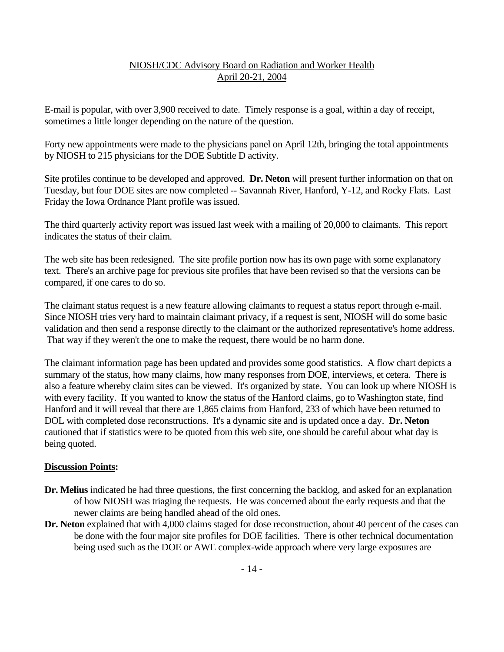E-mail is popular, with over 3,900 received to date. Timely response is a goal, within a day of receipt, sometimes a little longer depending on the nature of the question.

Forty new appointments were made to the physicians panel on April 12th, bringing the total appointments by NIOSH to 215 physicians for the DOE Subtitle D activity.

Site profiles continue to be developed and approved. **Dr. Neton** will present further information on that on Tuesday, but four DOE sites are now completed -- Savannah River, Hanford, Y-12, and Rocky Flats. Last Friday the Iowa Ordnance Plant profile was issued.

The third quarterly activity report was issued last week with a mailing of 20,000 to claimants. This report indicates the status of their claim.

The web site has been redesigned. The site profile portion now has its own page with some explanatory text. There's an archive page for previous site profiles that have been revised so that the versions can be compared, if one cares to do so.

The claimant status request is a new feature allowing claimants to request a status report through e-mail. Since NIOSH tries very hard to maintain claimant privacy, if a request is sent, NIOSH will do some basic validation and then send a response directly to the claimant or the authorized representative's home address. That way if they weren't the one to make the request, there would be no harm done.

The claimant information page has been updated and provides some good statistics. A flow chart depicts a summary of the status, how many claims, how many responses from DOE, interviews, et cetera. There is also a feature whereby claim sites can be viewed. It's organized by state. You can look up where NIOSH is with every facility. If you wanted to know the status of the Hanford claims, go to Washington state, find Hanford and it will reveal that there are 1,865 claims from Hanford, 233 of which have been returned to DOL with completed dose reconstructions. It's a dynamic site and is updated once a day. **Dr. Neton**  cautioned that if statistics were to be quoted from this web site, one should be careful about what day is being quoted.

### **Discussion Points:**

- **Dr. Melius** indicated he had three questions, the first concerning the backlog, and asked for an explanation of how NIOSH was triaging the requests. He was concerned about the early requests and that the newer claims are being handled ahead of the old ones.
- **Dr. Neton** explained that with 4,000 claims staged for dose reconstruction, about 40 percent of the cases can be done with the four major site profiles for DOE facilities. There is other technical documentation being used such as the DOE or AWE complex-wide approach where very large exposures are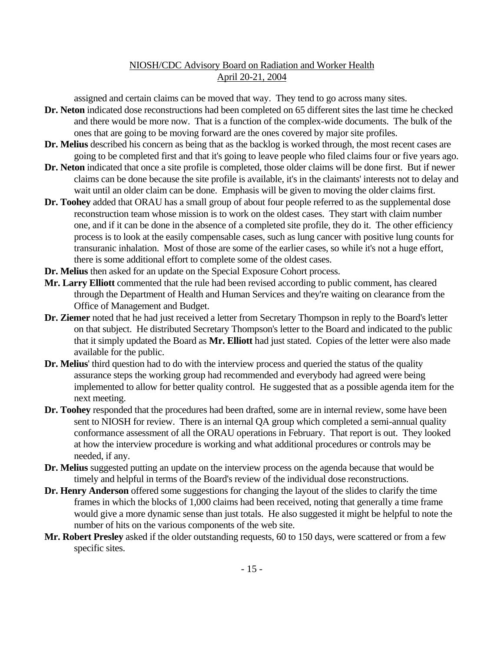assigned and certain claims can be moved that way. They tend to go across many sites.

- **Dr. Neton** indicated dose reconstructions had been completed on 65 different sites the last time he checked and there would be more now. That is a function of the complex-wide documents. The bulk of the ones that are going to be moving forward are the ones covered by major site profiles.
- **Dr. Melius** described his concern as being that as the backlog is worked through, the most recent cases are going to be completed first and that it's going to leave people who filed claims four or five years ago.
- **Dr. Neton** indicated that once a site profile is completed, those older claims will be done first. But if newer claims can be done because the site profile is available, it's in the claimants' interests not to delay and wait until an older claim can be done. Emphasis will be given to moving the older claims first.
- **Dr. Toohey** added that ORAU has a small group of about four people referred to as the supplemental dose reconstruction team whose mission is to work on the oldest cases. They start with claim number one, and if it can be done in the absence of a completed site profile, they do it. The other efficiency process is to look at the easily compensable cases, such as lung cancer with positive lung counts for transuranic inhalation. Most of those are some of the earlier cases, so while it's not a huge effort, there is some additional effort to complete some of the oldest cases.
- **Dr. Melius** then asked for an update on the Special Exposure Cohort process.
- **Mr. Larry Elliott** commented that the rule had been revised according to public comment, has cleared through the Department of Health and Human Services and they're waiting on clearance from the Office of Management and Budget.
- **Dr. Ziemer** noted that he had just received a letter from Secretary Thompson in reply to the Board's letter on that subject. He distributed Secretary Thompson's letter to the Board and indicated to the public that it simply updated the Board as **Mr. Elliott** had just stated. Copies of the letter were also made available for the public.
- **Dr. Melius**' third question had to do with the interview process and queried the status of the quality assurance steps the working group had recommended and everybody had agreed were being implemented to allow for better quality control. He suggested that as a possible agenda item for the next meeting.
- **Dr. Toohey** responded that the procedures had been drafted, some are in internal review, some have been sent to NIOSH for review. There is an internal QA group which completed a semi-annual quality conformance assessment of all the ORAU operations in February. That report is out. They looked at how the interview procedure is working and what additional procedures or controls may be needed, if any.
- **Dr. Melius** suggested putting an update on the interview process on the agenda because that would be timely and helpful in terms of the Board's review of the individual dose reconstructions.
- **Dr. Henry Anderson** offered some suggestions for changing the layout of the slides to clarify the time frames in which the blocks of 1,000 claims had been received, noting that generally a time frame would give a more dynamic sense than just totals. He also suggested it might be helpful to note the number of hits on the various components of the web site.
- **Mr. Robert Presley** asked if the older outstanding requests, 60 to 150 days, were scattered or from a few specific sites.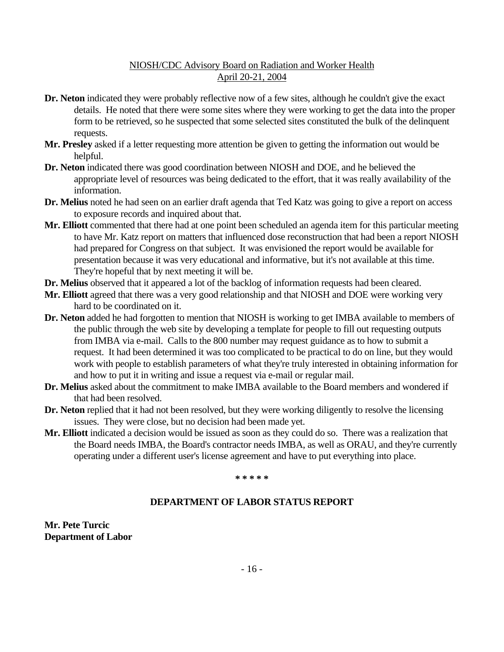- **Dr. Neton** indicated they were probably reflective now of a few sites, although he couldn't give the exact details. He noted that there were some sites where they were working to get the data into the proper form to be retrieved, so he suspected that some selected sites constituted the bulk of the delinquent requests.
- **Mr. Presley** asked if a letter requesting more attention be given to getting the information out would be helpful.
- **Dr. Neton** indicated there was good coordination between NIOSH and DOE, and he believed the appropriate level of resources was being dedicated to the effort, that it was really availability of the information.
- **Dr. Melius** noted he had seen on an earlier draft agenda that Ted Katz was going to give a report on access to exposure records and inquired about that.
- **Mr. Elliott** commented that there had at one point been scheduled an agenda item for this particular meeting to have Mr. Katz report on matters that influenced dose reconstruction that had been a report NIOSH had prepared for Congress on that subject. It was envisioned the report would be available for presentation because it was very educational and informative, but it's not available at this time. They're hopeful that by next meeting it will be.
- **Dr. Melius** observed that it appeared a lot of the backlog of information requests had been cleared.
- **Mr. Elliott** agreed that there was a very good relationship and that NIOSH and DOE were working very hard to be coordinated on it.
- **Dr. Neton** added he had forgotten to mention that NIOSH is working to get IMBA available to members of the public through the web site by developing a template for people to fill out requesting outputs from IMBA via e-mail. Calls to the 800 number may request guidance as to how to submit a request. It had been determined it was too complicated to be practical to do on line, but they would work with people to establish parameters of what they're truly interested in obtaining information for and how to put it in writing and issue a request via e-mail or regular mail.
- **Dr. Melius** asked about the commitment to make IMBA available to the Board members and wondered if that had been resolved.
- **Dr. Neton** replied that it had not been resolved, but they were working diligently to resolve the licensing issues. They were close, but no decision had been made yet.
- **Mr. Elliott** indicated a decision would be issued as soon as they could do so. There was a realization that the Board needs IMBA, the Board's contractor needs IMBA, as well as ORAU, and they're currently operating under a different user's license agreement and have to put everything into place.

 **\* \* \* \* \***

#### **DEPARTMENT OF LABOR STATUS REPORT**

**Mr. Pete Turcic Department of Labor**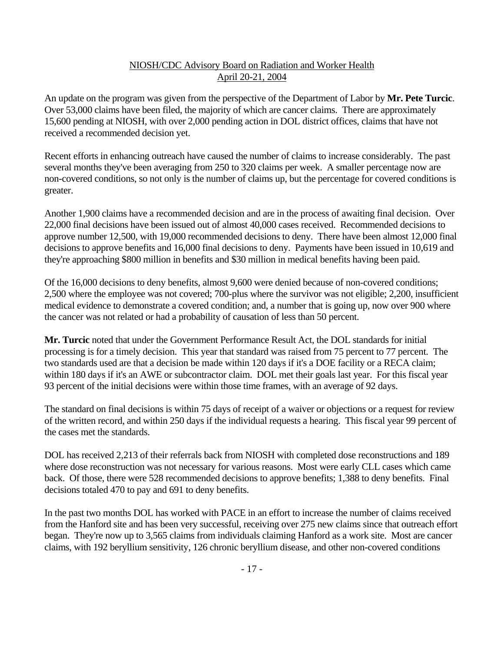An update on the program was given from the perspective of the Department of Labor by **Mr. Pete Turcic**. Over 53,000 claims have been filed, the majority of which are cancer claims. There are approximately 15,600 pending at NIOSH, with over 2,000 pending action in DOL district offices, claims that have not received a recommended decision yet.

Recent efforts in enhancing outreach have caused the number of claims to increase considerably. The past several months they've been averaging from 250 to 320 claims per week. A smaller percentage now are non-covered conditions, so not only is the number of claims up, but the percentage for covered conditions is greater.

Another 1,900 claims have a recommended decision and are in the process of awaiting final decision. Over 22,000 final decisions have been issued out of almost 40,000 cases received. Recommended decisions to approve number 12,500, with 19,000 recommended decisions to deny. There have been almost 12,000 final decisions to approve benefits and 16,000 final decisions to deny. Payments have been issued in 10,619 and they're approaching \$800 million in benefits and \$30 million in medical benefits having been paid.

Of the 16,000 decisions to deny benefits, almost 9,600 were denied because of non-covered conditions; 2,500 where the employee was not covered; 700-plus where the survivor was not eligible; 2,200, insufficient medical evidence to demonstrate a covered condition; and, a number that is going up, now over 900 where the cancer was not related or had a probability of causation of less than 50 percent.

**Mr. Turcic** noted that under the Government Performance Result Act, the DOL standards for initial processing is for a timely decision. This year that standard was raised from 75 percent to 77 percent. The two standards used are that a decision be made within 120 days if it's a DOE facility or a RECA claim; within 180 days if it's an AWE or subcontractor claim. DOL met their goals last year. For this fiscal year 93 percent of the initial decisions were within those time frames, with an average of 92 days.

The standard on final decisions is within 75 days of receipt of a waiver or objections or a request for review of the written record, and within 250 days if the individual requests a hearing. This fiscal year 99 percent of the cases met the standards.

DOL has received 2,213 of their referrals back from NIOSH with completed dose reconstructions and 189 where dose reconstruction was not necessary for various reasons. Most were early CLL cases which came back. Of those, there were 528 recommended decisions to approve benefits; 1,388 to deny benefits. Final decisions totaled 470 to pay and 691 to deny benefits.

In the past two months DOL has worked with PACE in an effort to increase the number of claims received from the Hanford site and has been very successful, receiving over 275 new claims since that outreach effort began. They're now up to 3,565 claims from individuals claiming Hanford as a work site. Most are cancer claims, with 192 beryllium sensitivity, 126 chronic beryllium disease, and other non-covered conditions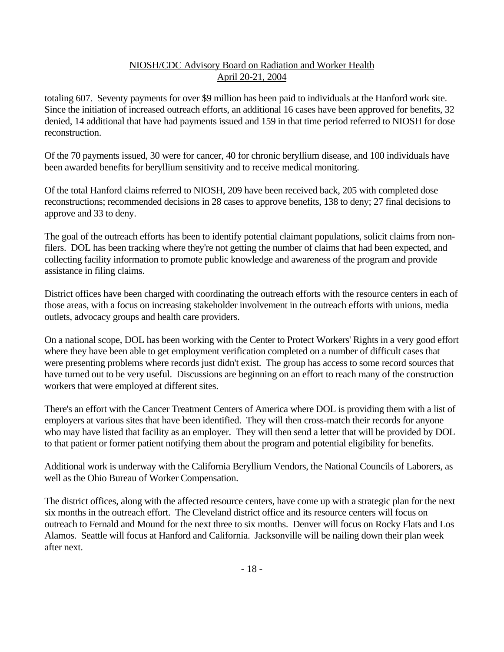totaling 607. Seventy payments for over \$9 million has been paid to individuals at the Hanford work site. Since the initiation of increased outreach efforts, an additional 16 cases have been approved for benefits, 32 denied, 14 additional that have had payments issued and 159 in that time period referred to NIOSH for dose reconstruction.

Of the 70 payments issued, 30 were for cancer, 40 for chronic beryllium disease, and 100 individuals have been awarded benefits for beryllium sensitivity and to receive medical monitoring.

Of the total Hanford claims referred to NIOSH, 209 have been received back, 205 with completed dose reconstructions; recommended decisions in 28 cases to approve benefits, 138 to deny; 27 final decisions to approve and 33 to deny.

The goal of the outreach efforts has been to identify potential claimant populations, solicit claims from nonfilers. DOL has been tracking where they're not getting the number of claims that had been expected, and collecting facility information to promote public knowledge and awareness of the program and provide assistance in filing claims.

District offices have been charged with coordinating the outreach efforts with the resource centers in each of those areas, with a focus on increasing stakeholder involvement in the outreach efforts with unions, media outlets, advocacy groups and health care providers.

On a national scope, DOL has been working with the Center to Protect Workers' Rights in a very good effort where they have been able to get employment verification completed on a number of difficult cases that were presenting problems where records just didn't exist. The group has access to some record sources that have turned out to be very useful. Discussions are beginning on an effort to reach many of the construction workers that were employed at different sites.

There's an effort with the Cancer Treatment Centers of America where DOL is providing them with a list of employers at various sites that have been identified. They will then cross-match their records for anyone who may have listed that facility as an employer. They will then send a letter that will be provided by DOL to that patient or former patient notifying them about the program and potential eligibility for benefits.

Additional work is underway with the California Beryllium Vendors, the National Councils of Laborers, as well as the Ohio Bureau of Worker Compensation.

The district offices, along with the affected resource centers, have come up with a strategic plan for the next six months in the outreach effort. The Cleveland district office and its resource centers will focus on outreach to Fernald and Mound for the next three to six months. Denver will focus on Rocky Flats and Los Alamos. Seattle will focus at Hanford and California. Jacksonville will be nailing down their plan week after next.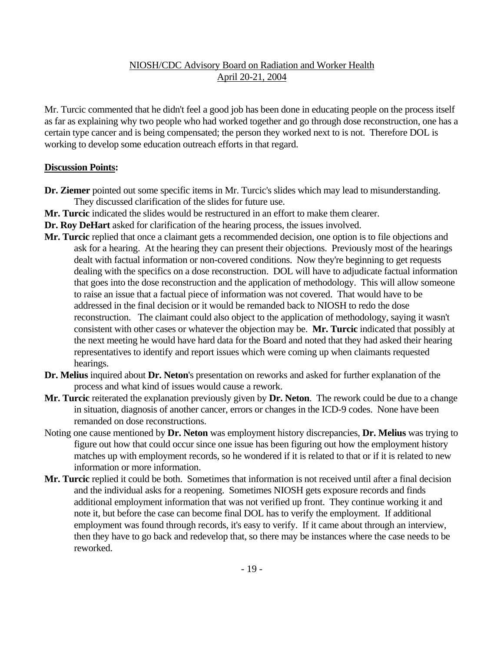Mr. Turcic commented that he didn't feel a good job has been done in educating people on the process itself as far as explaining why two people who had worked together and go through dose reconstruction, one has a certain type cancer and is being compensated; the person they worked next to is not. Therefore DOL is working to develop some education outreach efforts in that regard.

### **Discussion Points:**

- **Dr. Ziemer** pointed out some specific items in Mr. Turcic's slides which may lead to misunderstanding. They discussed clarification of the slides for future use.
- **Mr. Turcic** indicated the slides would be restructured in an effort to make them clearer.
- **Dr. Roy DeHart** asked for clarification of the hearing process, the issues involved.
- **Mr. Turcic** replied that once a claimant gets a recommended decision, one option is to file objections and ask for a hearing. At the hearing they can present their objections. Previously most of the hearings dealt with factual information or non-covered conditions. Now they're beginning to get requests dealing with the specifics on a dose reconstruction. DOL will have to adjudicate factual information that goes into the dose reconstruction and the application of methodology. This will allow someone to raise an issue that a factual piece of information was not covered. That would have to be addressed in the final decision or it would be remanded back to NIOSH to redo the dose reconstruction. The claimant could also object to the application of methodology, saying it wasn't consistent with other cases or whatever the objection may be. **Mr. Turcic** indicated that possibly at the next meeting he would have hard data for the Board and noted that they had asked their hearing representatives to identify and report issues which were coming up when claimants requested hearings.
- **Dr. Melius** inquired about **Dr. Neton**'s presentation on reworks and asked for further explanation of the process and what kind of issues would cause a rework.
- **Mr. Turcic** reiterated the explanation previously given by **Dr. Neton**. The rework could be due to a change in situation, diagnosis of another cancer, errors or changes in the ICD-9 codes. None have been remanded on dose reconstructions.
- Noting one cause mentioned by **Dr. Neton** was employment history discrepancies, **Dr. Melius** was trying to figure out how that could occur since one issue has been figuring out how the employment history matches up with employment records, so he wondered if it is related to that or if it is related to new information or more information.
- **Mr. Turcic** replied it could be both. Sometimes that information is not received until after a final decision and the individual asks for a reopening. Sometimes NIOSH gets exposure records and finds additional employment information that was not verified up front. They continue working it and note it, but before the case can become final DOL has to verify the employment. If additional employment was found through records, it's easy to verify. If it came about through an interview, then they have to go back and redevelop that, so there may be instances where the case needs to be reworked.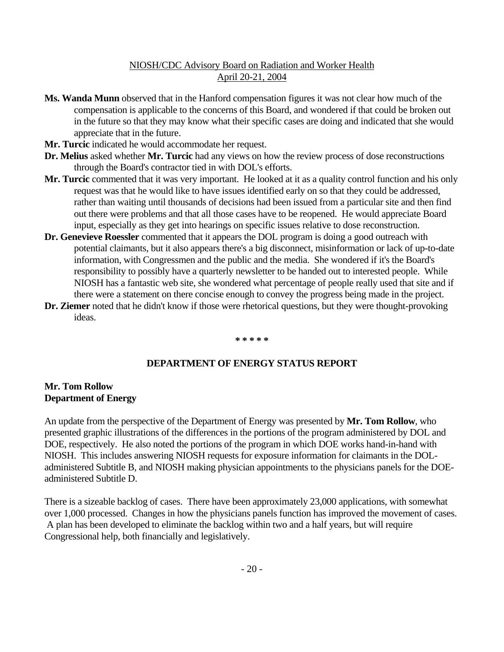- **Ms. Wanda Munn** observed that in the Hanford compensation figures it was not clear how much of the compensation is applicable to the concerns of this Board, and wondered if that could be broken out in the future so that they may know what their specific cases are doing and indicated that she would appreciate that in the future.
- Mr. Turcic indicated he would accommodate her request.
- **Dr. Melius** asked whether **Mr. Turcic** had any views on how the review process of dose reconstructions through the Board's contractor tied in with DOL's efforts.
- **Mr. Turcic** commented that it was very important. He looked at it as a quality control function and his only request was that he would like to have issues identified early on so that they could be addressed, rather than waiting until thousands of decisions had been issued from a particular site and then find out there were problems and that all those cases have to be reopened. He would appreciate Board input, especially as they get into hearings on specific issues relative to dose reconstruction.
- **Dr. Genevieve Roessler** commented that it appears the DOL program is doing a good outreach with potential claimants, but it also appears there's a big disconnect, misinformation or lack of up-to-date information, with Congressmen and the public and the media. She wondered if it's the Board's responsibility to possibly have a quarterly newsletter to be handed out to interested people. While NIOSH has a fantastic web site, she wondered what percentage of people really used that site and if there were a statement on there concise enough to convey the progress being made in the project.
- **Dr. Ziemer** noted that he didn't know if those were rhetorical questions, but they were thought-provoking ideas.

#### **\* \* \* \* \***

#### **DEPARTMENT OF ENERGY STATUS REPORT**

#### **Mr. Tom Rollow Department of Energy**

An update from the perspective of the Department of Energy was presented by **Mr. Tom Rollow**, who presented graphic illustrations of the differences in the portions of the program administered by DOL and DOE, respectively. He also noted the portions of the program in which DOE works hand-in-hand with NIOSH. This includes answering NIOSH requests for exposure information for claimants in the DOLadministered Subtitle B, and NIOSH making physician appointments to the physicians panels for the DOEadministered Subtitle D.

There is a sizeable backlog of cases. There have been approximately 23,000 applications, with somewhat over 1,000 processed. Changes in how the physicians panels function has improved the movement of cases. A plan has been developed to eliminate the backlog within two and a half years, but will require Congressional help, both financially and legislatively.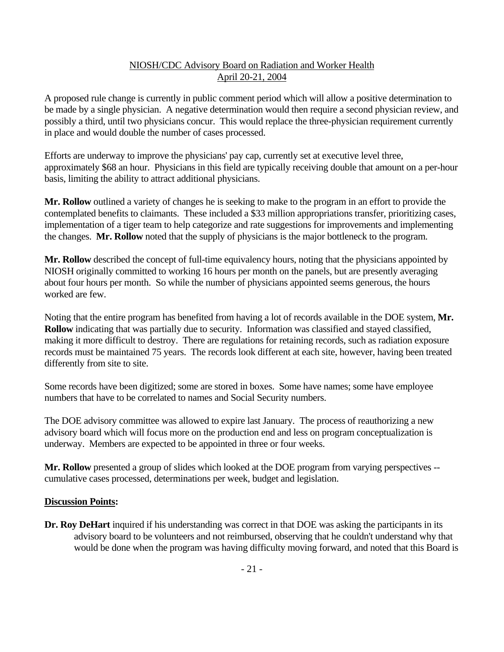A proposed rule change is currently in public comment period which will allow a positive determination to be made by a single physician. A negative determination would then require a second physician review, and possibly a third, until two physicians concur. This would replace the three-physician requirement currently in place and would double the number of cases processed.

Efforts are underway to improve the physicians' pay cap, currently set at executive level three, approximately \$68 an hour. Physicians in this field are typically receiving double that amount on a per-hour basis, limiting the ability to attract additional physicians.

**Mr. Rollow** outlined a variety of changes he is seeking to make to the program in an effort to provide the contemplated benefits to claimants. These included a \$33 million appropriations transfer, prioritizing cases, implementation of a tiger team to help categorize and rate suggestions for improvements and implementing the changes. **Mr. Rollow** noted that the supply of physicians is the major bottleneck to the program.

**Mr. Rollow** described the concept of full-time equivalency hours, noting that the physicians appointed by NIOSH originally committed to working 16 hours per month on the panels, but are presently averaging about four hours per month. So while the number of physicians appointed seems generous, the hours worked are few.

Noting that the entire program has benefited from having a lot of records available in the DOE system, **Mr. Rollow** indicating that was partially due to security. Information was classified and stayed classified, making it more difficult to destroy. There are regulations for retaining records, such as radiation exposure records must be maintained 75 years. The records look different at each site, however, having been treated differently from site to site.

Some records have been digitized; some are stored in boxes. Some have names; some have employee numbers that have to be correlated to names and Social Security numbers.

The DOE advisory committee was allowed to expire last January. The process of reauthorizing a new advisory board which will focus more on the production end and less on program conceptualization is underway. Members are expected to be appointed in three or four weeks.

**Mr. Rollow** presented a group of slides which looked at the DOE program from varying perspectives - cumulative cases processed, determinations per week, budget and legislation.

#### **Discussion Points:**

**Dr. Roy DeHart** inquired if his understanding was correct in that DOE was asking the participants in its advisory board to be volunteers and not reimbursed, observing that he couldn't understand why that would be done when the program was having difficulty moving forward, and noted that this Board is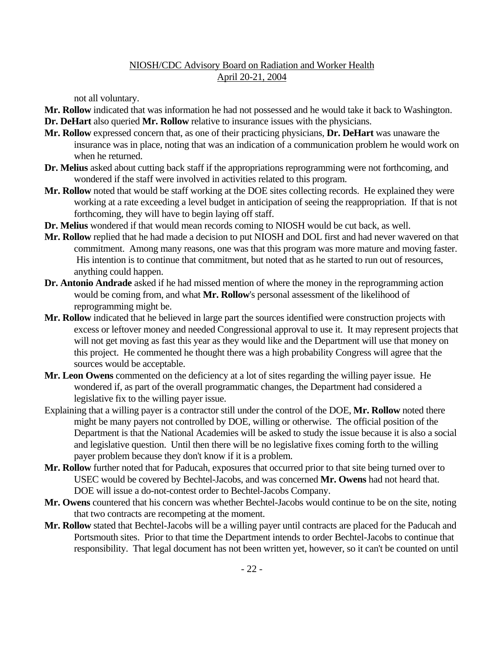not all voluntary.

- **Mr. Rollow** indicated that was information he had not possessed and he would take it back to Washington. **Dr. DeHart** also queried **Mr. Rollow** relative to insurance issues with the physicians.
- **Mr. Rollow** expressed concern that, as one of their practicing physicians, **Dr. DeHart** was unaware the insurance was in place, noting that was an indication of a communication problem he would work on when he returned.
- **Dr. Melius** asked about cutting back staff if the appropriations reprogramming were not forthcoming, and wondered if the staff were involved in activities related to this program.
- **Mr. Rollow** noted that would be staff working at the DOE sites collecting records. He explained they were working at a rate exceeding a level budget in anticipation of seeing the reappropriation. If that is not forthcoming, they will have to begin laying off staff.
- **Dr. Melius** wondered if that would mean records coming to NIOSH would be cut back, as well.
- **Mr. Rollow** replied that he had made a decision to put NIOSH and DOL first and had never wavered on that commitment. Among many reasons, one was that this program was more mature and moving faster. His intention is to continue that commitment, but noted that as he started to run out of resources, anything could happen.
- **Dr. Antonio Andrade** asked if he had missed mention of where the money in the reprogramming action would be coming from, and what **Mr. Rollow**'s personal assessment of the likelihood of reprogramming might be.
- **Mr. Rollow** indicated that he believed in large part the sources identified were construction projects with excess or leftover money and needed Congressional approval to use it. It may represent projects that will not get moving as fast this year as they would like and the Department will use that money on this project. He commented he thought there was a high probability Congress will agree that the sources would be acceptable.
- **Mr. Leon Owens** commented on the deficiency at a lot of sites regarding the willing payer issue. He wondered if, as part of the overall programmatic changes, the Department had considered a legislative fix to the willing payer issue.
- Explaining that a willing payer is a contractor still under the control of the DOE, **Mr. Rollow** noted there might be many payers not controlled by DOE, willing or otherwise. The official position of the Department is that the National Academies will be asked to study the issue because it is also a social and legislative question. Until then there will be no legislative fixes coming forth to the willing payer problem because they don't know if it is a problem.
- **Mr. Rollow** further noted that for Paducah, exposures that occurred prior to that site being turned over to USEC would be covered by Bechtel-Jacobs, and was concerned **Mr. Owens** had not heard that. DOE will issue a do-not-contest order to Bechtel-Jacobs Company.
- **Mr. Owens** countered that his concern was whether Bechtel-Jacobs would continue to be on the site, noting that two contracts are recompeting at the moment.
- **Mr. Rollow** stated that Bechtel-Jacobs will be a willing payer until contracts are placed for the Paducah and Portsmouth sites. Prior to that time the Department intends to order Bechtel-Jacobs to continue that responsibility. That legal document has not been written yet, however, so it can't be counted on until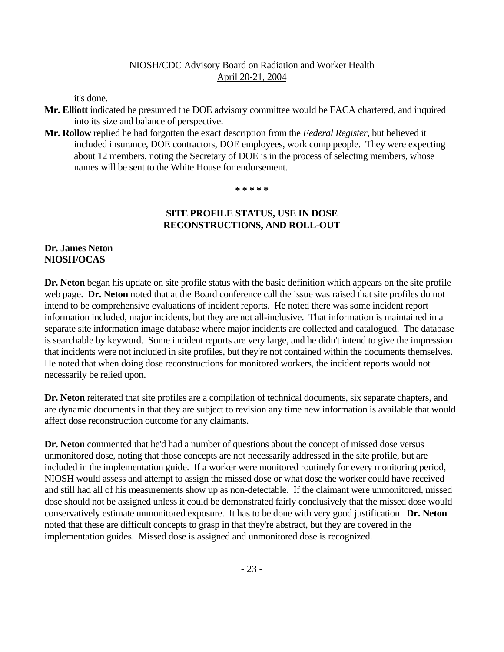it's done.

- **Mr. Elliott** indicated he presumed the DOE advisory committee would be FACA chartered, and inquired into its size and balance of perspective.
- **Mr. Rollow** replied he had forgotten the exact description from the *Federal Register*, but believed it included insurance, DOE contractors, DOE employees, work comp people. They were expecting about 12 members, noting the Secretary of DOE is in the process of selecting members, whose names will be sent to the White House for endorsement.

 **\* \* \* \* \***

# **SITE PROFILE STATUS, USE IN DOSE RECONSTRUCTIONS, AND ROLL-OUT**

### **Dr. James Neton NIOSH/OCAS**

**Dr. Neton** began his update on site profile status with the basic definition which appears on the site profile web page. **Dr. Neton** noted that at the Board conference call the issue was raised that site profiles do not intend to be comprehensive evaluations of incident reports. He noted there was some incident report information included, major incidents, but they are not all-inclusive. That information is maintained in a separate site information image database where major incidents are collected and catalogued. The database is searchable by keyword. Some incident reports are very large, and he didn't intend to give the impression that incidents were not included in site profiles, but they're not contained within the documents themselves. He noted that when doing dose reconstructions for monitored workers, the incident reports would not necessarily be relied upon.

**Dr. Neton** reiterated that site profiles are a compilation of technical documents, six separate chapters, and are dynamic documents in that they are subject to revision any time new information is available that would affect dose reconstruction outcome for any claimants.

**Dr. Neton** commented that he'd had a number of questions about the concept of missed dose versus unmonitored dose, noting that those concepts are not necessarily addressed in the site profile, but are included in the implementation guide. If a worker were monitored routinely for every monitoring period, NIOSH would assess and attempt to assign the missed dose or what dose the worker could have received and still had all of his measurements show up as non-detectable. If the claimant were unmonitored, missed dose should not be assigned unless it could be demonstrated fairly conclusively that the missed dose would conservatively estimate unmonitored exposure. It has to be done with very good justification. **Dr. Neton**  noted that these are difficult concepts to grasp in that they're abstract, but they are covered in the implementation guides. Missed dose is assigned and unmonitored dose is recognized.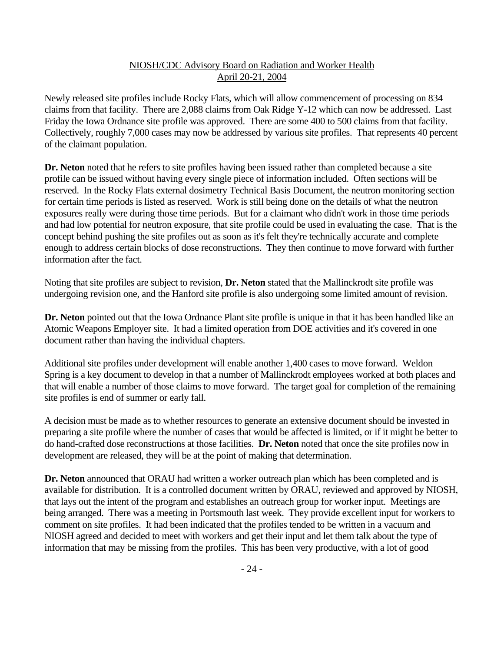Newly released site profiles include Rocky Flats, which will allow commencement of processing on 834 claims from that facility. There are 2,088 claims from Oak Ridge Y-12 which can now be addressed. Last Friday the Iowa Ordnance site profile was approved. There are some 400 to 500 claims from that facility. Collectively, roughly 7,000 cases may now be addressed by various site profiles. That represents 40 percent of the claimant population.

**Dr. Neton** noted that he refers to site profiles having been issued rather than completed because a site profile can be issued without having every single piece of information included. Often sections will be reserved. In the Rocky Flats external dosimetry Technical Basis Document, the neutron monitoring section for certain time periods is listed as reserved. Work is still being done on the details of what the neutron exposures really were during those time periods. But for a claimant who didn't work in those time periods and had low potential for neutron exposure, that site profile could be used in evaluating the case. That is the concept behind pushing the site profiles out as soon as it's felt they're technically accurate and complete enough to address certain blocks of dose reconstructions. They then continue to move forward with further information after the fact.

Noting that site profiles are subject to revision, **Dr. Neton** stated that the Mallinckrodt site profile was undergoing revision one, and the Hanford site profile is also undergoing some limited amount of revision.

**Dr. Neton** pointed out that the Iowa Ordnance Plant site profile is unique in that it has been handled like an Atomic Weapons Employer site. It had a limited operation from DOE activities and it's covered in one document rather than having the individual chapters.

Additional site profiles under development will enable another 1,400 cases to move forward. Weldon Spring is a key document to develop in that a number of Mallinckrodt employees worked at both places and that will enable a number of those claims to move forward. The target goal for completion of the remaining site profiles is end of summer or early fall.

A decision must be made as to whether resources to generate an extensive document should be invested in preparing a site profile where the number of cases that would be affected is limited, or if it might be better to do hand-crafted dose reconstructions at those facilities. **Dr. Neton** noted that once the site profiles now in development are released, they will be at the point of making that determination.

**Dr. Neton** announced that ORAU had written a worker outreach plan which has been completed and is available for distribution. It is a controlled document written by ORAU, reviewed and approved by NIOSH, that lays out the intent of the program and establishes an outreach group for worker input. Meetings are being arranged. There was a meeting in Portsmouth last week. They provide excellent input for workers to comment on site profiles. It had been indicated that the profiles tended to be written in a vacuum and NIOSH agreed and decided to meet with workers and get their input and let them talk about the type of information that may be missing from the profiles. This has been very productive, with a lot of good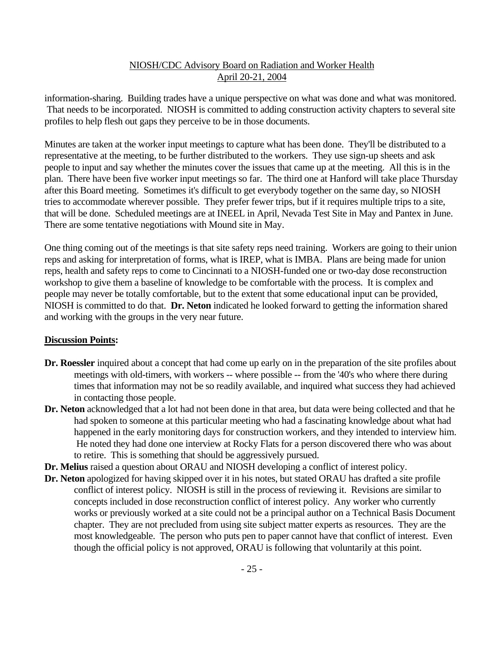information-sharing. Building trades have a unique perspective on what was done and what was monitored. That needs to be incorporated. NIOSH is committed to adding construction activity chapters to several site profiles to help flesh out gaps they perceive to be in those documents.

Minutes are taken at the worker input meetings to capture what has been done. They'll be distributed to a representative at the meeting, to be further distributed to the workers. They use sign-up sheets and ask people to input and say whether the minutes cover the issues that came up at the meeting. All this is in the plan. There have been five worker input meetings so far. The third one at Hanford will take place Thursday after this Board meeting. Sometimes it's difficult to get everybody together on the same day, so NIOSH tries to accommodate wherever possible. They prefer fewer trips, but if it requires multiple trips to a site, that will be done. Scheduled meetings are at INEEL in April, Nevada Test Site in May and Pantex in June. There are some tentative negotiations with Mound site in May.

One thing coming out of the meetings is that site safety reps need training. Workers are going to their union reps and asking for interpretation of forms, what is IREP, what is IMBA. Plans are being made for union reps, health and safety reps to come to Cincinnati to a NIOSH-funded one or two-day dose reconstruction workshop to give them a baseline of knowledge to be comfortable with the process. It is complex and people may never be totally comfortable, but to the extent that some educational input can be provided, NIOSH is committed to do that. **Dr. Neton** indicated he looked forward to getting the information shared and working with the groups in the very near future.

#### **Discussion Points:**

- **Dr. Roessler** inquired about a concept that had come up early on in the preparation of the site profiles about meetings with old-timers, with workers -- where possible -- from the '40's who where there during times that information may not be so readily available, and inquired what success they had achieved in contacting those people.
- **Dr. Neton** acknowledged that a lot had not been done in that area, but data were being collected and that he had spoken to someone at this particular meeting who had a fascinating knowledge about what had happened in the early monitoring days for construction workers, and they intended to interview him. He noted they had done one interview at Rocky Flats for a person discovered there who was about to retire. This is something that should be aggressively pursued.
- **Dr. Melius** raised a question about ORAU and NIOSH developing a conflict of interest policy.
- **Dr. Neton** apologized for having skipped over it in his notes, but stated ORAU has drafted a site profile conflict of interest policy. NIOSH is still in the process of reviewing it. Revisions are similar to concepts included in dose reconstruction conflict of interest policy. Any worker who currently works or previously worked at a site could not be a principal author on a Technical Basis Document chapter. They are not precluded from using site subject matter experts as resources. They are the most knowledgeable. The person who puts pen to paper cannot have that conflict of interest. Even though the official policy is not approved, ORAU is following that voluntarily at this point.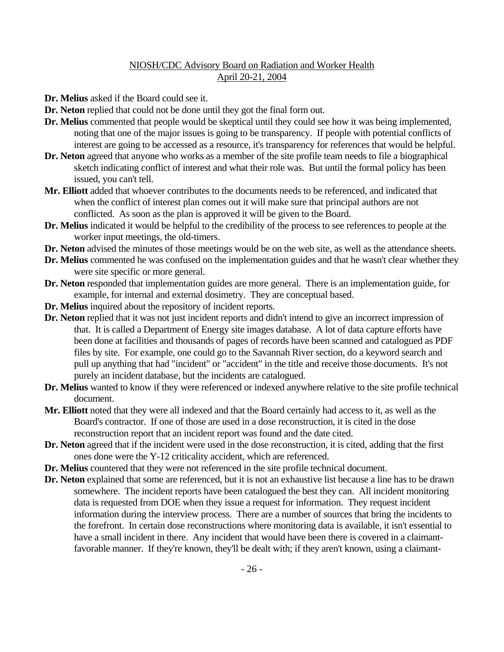- **Dr. Melius** asked if the Board could see it.
- **Dr. Neton** replied that could not be done until they got the final form out.
- **Dr. Melius** commented that people would be skeptical until they could see how it was being implemented, noting that one of the major issues is going to be transparency. If people with potential conflicts of interest are going to be accessed as a resource, it's transparency for references that would be helpful.
- **Dr. Neton** agreed that anyone who works as a member of the site profile team needs to file a biographical sketch indicating conflict of interest and what their role was. But until the formal policy has been issued, you can't tell.
- **Mr. Elliott** added that whoever contributes to the documents needs to be referenced, and indicated that when the conflict of interest plan comes out it will make sure that principal authors are not conflicted. As soon as the plan is approved it will be given to the Board.
- **Dr. Melius** indicated it would be helpful to the credibility of the process to see references to people at the worker input meetings, the old-timers.
- **Dr. Neton** advised the minutes of those meetings would be on the web site, as well as the attendance sheets.
- **Dr. Melius** commented he was confused on the implementation guides and that he wasn't clear whether they were site specific or more general.
- **Dr. Neton** responded that implementation guides are more general. There is an implementation guide, for example, for internal and external dosimetry. They are conceptual based.
- **Dr. Melius** inquired about the repository of incident reports.
- **Dr. Neton** replied that it was not just incident reports and didn't intend to give an incorrect impression of that. It is called a Department of Energy site images database. A lot of data capture efforts have been done at facilities and thousands of pages of records have been scanned and catalogued as PDF files by site. For example, one could go to the Savannah River section, do a keyword search and pull up anything that had "incident" or "accident" in the title and receive those documents. It's not purely an incident database, but the incidents are catalogued.
- **Dr. Melius** wanted to know if they were referenced or indexed anywhere relative to the site profile technical document.
- **Mr. Elliott** noted that they were all indexed and that the Board certainly had access to it, as well as the Board's contractor. If one of those are used in a dose reconstruction, it is cited in the dose reconstruction report that an incident report was found and the date cited.
- **Dr. Neton** agreed that if the incident were used in the dose reconstruction, it is cited, adding that the first ones done were the Y-12 criticality accident, which are referenced.
- **Dr. Melius** countered that they were not referenced in the site profile technical document.
- Dr. Neton explained that some are referenced, but it is not an exhaustive list because a line has to be drawn somewhere. The incident reports have been catalogued the best they can. All incident monitoring data is requested from DOE when they issue a request for information. They request incident information during the interview process. There are a number of sources that bring the incidents to the forefront. In certain dose reconstructions where monitoring data is available, it isn't essential to have a small incident in there. Any incident that would have been there is covered in a claimantfavorable manner. If they're known, they'll be dealt with; if they aren't known, using a claimant-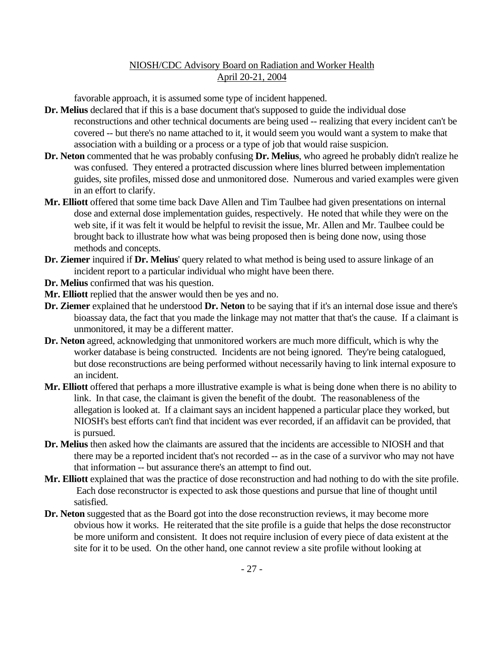favorable approach, it is assumed some type of incident happened.

- **Dr. Melius** declared that if this is a base document that's supposed to guide the individual dose reconstructions and other technical documents are being used -- realizing that every incident can't be covered -- but there's no name attached to it, it would seem you would want a system to make that association with a building or a process or a type of job that would raise suspicion.
- **Dr. Neton** commented that he was probably confusing **Dr. Melius**, who agreed he probably didn't realize he was confused. They entered a protracted discussion where lines blurred between implementation guides, site profiles, missed dose and unmonitored dose. Numerous and varied examples were given in an effort to clarify.
- **Mr. Elliott** offered that some time back Dave Allen and Tim Taulbee had given presentations on internal dose and external dose implementation guides, respectively. He noted that while they were on the web site, if it was felt it would be helpful to revisit the issue, Mr. Allen and Mr. Taulbee could be brought back to illustrate how what was being proposed then is being done now, using those methods and concepts.
- **Dr. Ziemer** inquired if **Dr. Melius**' query related to what method is being used to assure linkage of an incident report to a particular individual who might have been there.
- **Dr. Melius** confirmed that was his question.
- **Mr. Elliott** replied that the answer would then be yes and no.
- **Dr. Ziemer** explained that he understood **Dr. Neton** to be saying that if it's an internal dose issue and there's bioassay data, the fact that you made the linkage may not matter that that's the cause. If a claimant is unmonitored, it may be a different matter.
- **Dr. Neton** agreed, acknowledging that unmonitored workers are much more difficult, which is why the worker database is being constructed. Incidents are not being ignored. They're being catalogued, but dose reconstructions are being performed without necessarily having to link internal exposure to an incident.
- **Mr. Elliott** offered that perhaps a more illustrative example is what is being done when there is no ability to link. In that case, the claimant is given the benefit of the doubt. The reasonableness of the allegation is looked at. If a claimant says an incident happened a particular place they worked, but NIOSH's best efforts can't find that incident was ever recorded, if an affidavit can be provided, that is pursued.
- **Dr. Melius** then asked how the claimants are assured that the incidents are accessible to NIOSH and that there may be a reported incident that's not recorded -- as in the case of a survivor who may not have that information -- but assurance there's an attempt to find out.
- **Mr. Elliott** explained that was the practice of dose reconstruction and had nothing to do with the site profile. Each dose reconstructor is expected to ask those questions and pursue that line of thought until satisfied.
- **Dr. Neton** suggested that as the Board got into the dose reconstruction reviews, it may become more obvious how it works. He reiterated that the site profile is a guide that helps the dose reconstructor be more uniform and consistent. It does not require inclusion of every piece of data existent at the site for it to be used. On the other hand, one cannot review a site profile without looking at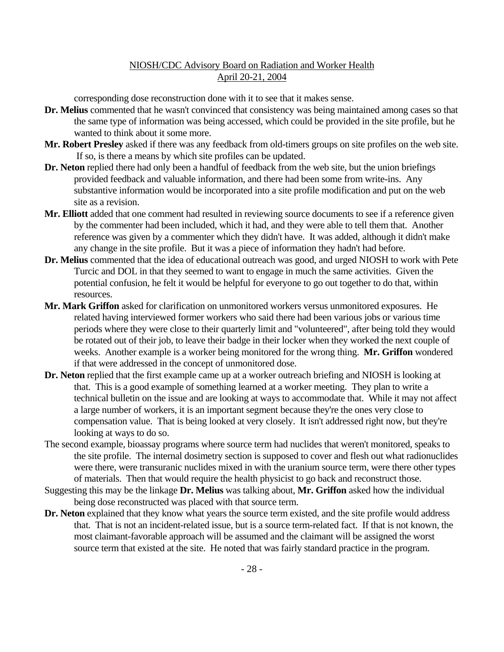corresponding dose reconstruction done with it to see that it makes sense.

- **Dr. Melius** commented that he wasn't convinced that consistency was being maintained among cases so that the same type of information was being accessed, which could be provided in the site profile, but he wanted to think about it some more.
- **Mr. Robert Presley** asked if there was any feedback from old-timers groups on site profiles on the web site. If so, is there a means by which site profiles can be updated.
- Dr. Neton replied there had only been a handful of feedback from the web site, but the union briefings provided feedback and valuable information, and there had been some from write-ins. Any substantive information would be incorporated into a site profile modification and put on the web site as a revision.
- **Mr. Elliott** added that one comment had resulted in reviewing source documents to see if a reference given by the commenter had been included, which it had, and they were able to tell them that. Another reference was given by a commenter which they didn't have. It was added, although it didn't make any change in the site profile. But it was a piece of information they hadn't had before.
- **Dr. Melius** commented that the idea of educational outreach was good, and urged NIOSH to work with Pete Turcic and DOL in that they seemed to want to engage in much the same activities. Given the potential confusion, he felt it would be helpful for everyone to go out together to do that, within resources.
- **Mr. Mark Griffon** asked for clarification on unmonitored workers versus unmonitored exposures. He related having interviewed former workers who said there had been various jobs or various time periods where they were close to their quarterly limit and "volunteered", after being told they would be rotated out of their job, to leave their badge in their locker when they worked the next couple of weeks. Another example is a worker being monitored for the wrong thing. **Mr. Griffon** wondered if that were addressed in the concept of unmonitored dose.
- **Dr. Neton** replied that the first example came up at a worker outreach briefing and NIOSH is looking at that. This is a good example of something learned at a worker meeting. They plan to write a technical bulletin on the issue and are looking at ways to accommodate that. While it may not affect a large number of workers, it is an important segment because they're the ones very close to compensation value. That is being looked at very closely. It isn't addressed right now, but they're looking at ways to do so.
- The second example, bioassay programs where source term had nuclides that weren't monitored, speaks to the site profile. The internal dosimetry section is supposed to cover and flesh out what radionuclides were there, were transuranic nuclides mixed in with the uranium source term, were there other types of materials. Then that would require the health physicist to go back and reconstruct those.
- Suggesting this may be the linkage **Dr. Melius** was talking about, **Mr. Griffon** asked how the individual being dose reconstructed was placed with that source term.
- **Dr. Neton** explained that they know what years the source term existed, and the site profile would address that. That is not an incident-related issue, but is a source term-related fact. If that is not known, the most claimant-favorable approach will be assumed and the claimant will be assigned the worst source term that existed at the site. He noted that was fairly standard practice in the program.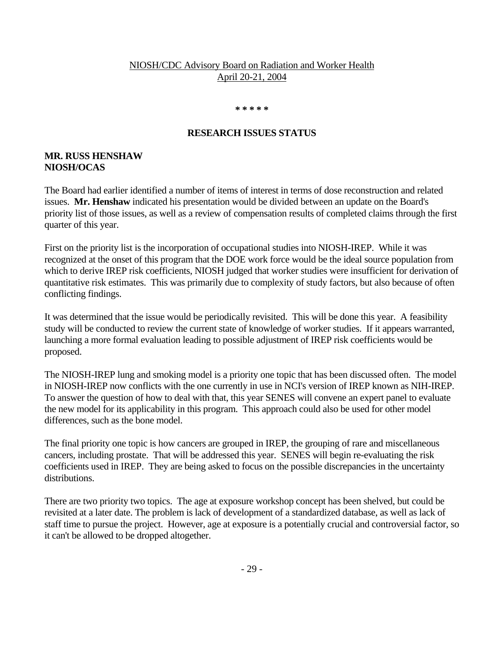#### **\* \* \* \* \***

#### **RESEARCH ISSUES STATUS**

#### **MR. RUSS HENSHAW NIOSH/OCAS**

The Board had earlier identified a number of items of interest in terms of dose reconstruction and related issues. **Mr. Henshaw** indicated his presentation would be divided between an update on the Board's priority list of those issues, as well as a review of compensation results of completed claims through the first quarter of this year.

First on the priority list is the incorporation of occupational studies into NIOSH-IREP. While it was recognized at the onset of this program that the DOE work force would be the ideal source population from which to derive IREP risk coefficients, NIOSH judged that worker studies were insufficient for derivation of quantitative risk estimates. This was primarily due to complexity of study factors, but also because of often conflicting findings.

It was determined that the issue would be periodically revisited. This will be done this year. A feasibility study will be conducted to review the current state of knowledge of worker studies. If it appears warranted, launching a more formal evaluation leading to possible adjustment of IREP risk coefficients would be proposed.

The NIOSH-IREP lung and smoking model is a priority one topic that has been discussed often. The model in NIOSH-IREP now conflicts with the one currently in use in NCI's version of IREP known as NIH-IREP. To answer the question of how to deal with that, this year SENES will convene an expert panel to evaluate the new model for its applicability in this program. This approach could also be used for other model differences, such as the bone model.

The final priority one topic is how cancers are grouped in IREP, the grouping of rare and miscellaneous cancers, including prostate. That will be addressed this year. SENES will begin re-evaluating the risk coefficients used in IREP. They are being asked to focus on the possible discrepancies in the uncertainty distributions.

There are two priority two topics. The age at exposure workshop concept has been shelved, but could be revisited at a later date. The problem is lack of development of a standardized database, as well as lack of staff time to pursue the project. However, age at exposure is a potentially crucial and controversial factor, so it can't be allowed to be dropped altogether.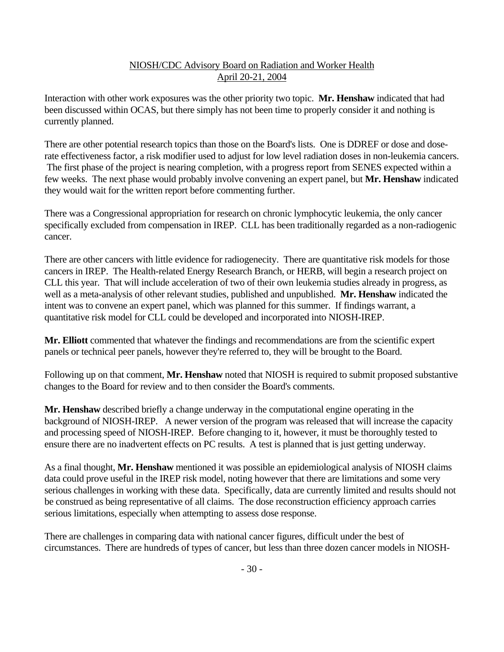Interaction with other work exposures was the other priority two topic. **Mr. Henshaw** indicated that had been discussed within OCAS, but there simply has not been time to properly consider it and nothing is currently planned.

There are other potential research topics than those on the Board's lists. One is DDREF or dose and doserate effectiveness factor, a risk modifier used to adjust for low level radiation doses in non-leukemia cancers. The first phase of the project is nearing completion, with a progress report from SENES expected within a few weeks. The next phase would probably involve convening an expert panel, but **Mr. Henshaw** indicated they would wait for the written report before commenting further.

There was a Congressional appropriation for research on chronic lymphocytic leukemia, the only cancer specifically excluded from compensation in IREP. CLL has been traditionally regarded as a non-radiogenic cancer.

There are other cancers with little evidence for radiogenecity. There are quantitative risk models for those cancers in IREP. The Health-related Energy Research Branch, or HERB, will begin a research project on CLL this year. That will include acceleration of two of their own leukemia studies already in progress, as well as a meta-analysis of other relevant studies, published and unpublished. **Mr. Henshaw** indicated the intent was to convene an expert panel, which was planned for this summer. If findings warrant, a quantitative risk model for CLL could be developed and incorporated into NIOSH-IREP.

**Mr. Elliott** commented that whatever the findings and recommendations are from the scientific expert panels or technical peer panels, however they're referred to, they will be brought to the Board.

Following up on that comment, **Mr. Henshaw** noted that NIOSH is required to submit proposed substantive changes to the Board for review and to then consider the Board's comments.

**Mr. Henshaw** described briefly a change underway in the computational engine operating in the background of NIOSH-IREP. A newer version of the program was released that will increase the capacity and processing speed of NIOSH-IREP. Before changing to it, however, it must be thoroughly tested to ensure there are no inadvertent effects on PC results. A test is planned that is just getting underway.

As a final thought, **Mr. Henshaw** mentioned it was possible an epidemiological analysis of NIOSH claims data could prove useful in the IREP risk model, noting however that there are limitations and some very serious challenges in working with these data. Specifically, data are currently limited and results should not be construed as being representative of all claims. The dose reconstruction efficiency approach carries serious limitations, especially when attempting to assess dose response.

There are challenges in comparing data with national cancer figures, difficult under the best of circumstances. There are hundreds of types of cancer, but less than three dozen cancer models in NIOSH-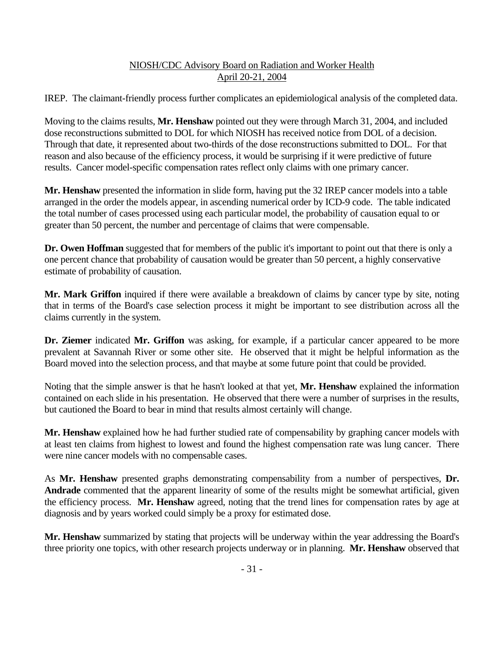IREP. The claimant-friendly process further complicates an epidemiological analysis of the completed data.

Moving to the claims results, **Mr. Henshaw** pointed out they were through March 31, 2004, and included dose reconstructions submitted to DOL for which NIOSH has received notice from DOL of a decision. Through that date, it represented about two-thirds of the dose reconstructions submitted to DOL. For that reason and also because of the efficiency process, it would be surprising if it were predictive of future results. Cancer model-specific compensation rates reflect only claims with one primary cancer.

**Mr. Henshaw** presented the information in slide form, having put the 32 IREP cancer models into a table arranged in the order the models appear, in ascending numerical order by ICD-9 code. The table indicated the total number of cases processed using each particular model, the probability of causation equal to or greater than 50 percent, the number and percentage of claims that were compensable.

**Dr. Owen Hoffman** suggested that for members of the public it's important to point out that there is only a one percent chance that probability of causation would be greater than 50 percent, a highly conservative estimate of probability of causation.

**Mr. Mark Griffon** inquired if there were available a breakdown of claims by cancer type by site, noting that in terms of the Board's case selection process it might be important to see distribution across all the claims currently in the system.

**Dr. Ziemer** indicated **Mr. Griffon** was asking, for example, if a particular cancer appeared to be more prevalent at Savannah River or some other site. He observed that it might be helpful information as the Board moved into the selection process, and that maybe at some future point that could be provided.

Noting that the simple answer is that he hasn't looked at that yet, **Mr. Henshaw** explained the information contained on each slide in his presentation. He observed that there were a number of surprises in the results, but cautioned the Board to bear in mind that results almost certainly will change.

**Mr. Henshaw** explained how he had further studied rate of compensability by graphing cancer models with at least ten claims from highest to lowest and found the highest compensation rate was lung cancer. There were nine cancer models with no compensable cases.

As **Mr. Henshaw** presented graphs demonstrating compensability from a number of perspectives, **Dr. Andrade** commented that the apparent linearity of some of the results might be somewhat artificial, given the efficiency process. **Mr. Henshaw** agreed, noting that the trend lines for compensation rates by age at diagnosis and by years worked could simply be a proxy for estimated dose.

**Mr. Henshaw** summarized by stating that projects will be underway within the year addressing the Board's three priority one topics, with other research projects underway or in planning. **Mr. Henshaw** observed that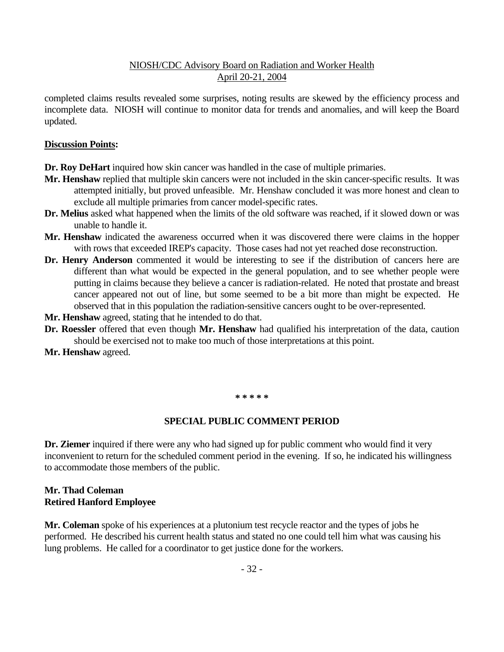completed claims results revealed some surprises, noting results are skewed by the efficiency process and incomplete data. NIOSH will continue to monitor data for trends and anomalies, and will keep the Board updated.

#### **Discussion Points:**

**Dr. Roy DeHart** inquired how skin cancer was handled in the case of multiple primaries.

- **Mr. Henshaw** replied that multiple skin cancers were not included in the skin cancer-specific results. It was attempted initially, but proved unfeasible. Mr. Henshaw concluded it was more honest and clean to exclude all multiple primaries from cancer model-specific rates.
- **Dr. Melius** asked what happened when the limits of the old software was reached, if it slowed down or was unable to handle it.
- **Mr. Henshaw** indicated the awareness occurred when it was discovered there were claims in the hopper with rows that exceeded IREP's capacity. Those cases had not yet reached dose reconstruction.
- **Dr. Henry Anderson** commented it would be interesting to see if the distribution of cancers here are different than what would be expected in the general population, and to see whether people were putting in claims because they believe a cancer is radiation-related. He noted that prostate and breast cancer appeared not out of line, but some seemed to be a bit more than might be expected. He observed that in this population the radiation-sensitive cancers ought to be over-represented.
- **Mr. Henshaw** agreed, stating that he intended to do that.
- **Dr. Roessler** offered that even though **Mr. Henshaw** had qualified his interpretation of the data, caution should be exercised not to make too much of those interpretations at this point.
- **Mr. Henshaw** agreed.

#### **\* \* \* \* \***

#### **SPECIAL PUBLIC COMMENT PERIOD**

**Dr. Ziemer** inquired if there were any who had signed up for public comment who would find it very inconvenient to return for the scheduled comment period in the evening. If so, he indicated his willingness to accommodate those members of the public.

#### **Mr. Thad Coleman Retired Hanford Employee**

**Mr. Coleman** spoke of his experiences at a plutonium test recycle reactor and the types of jobs he performed. He described his current health status and stated no one could tell him what was causing his lung problems. He called for a coordinator to get justice done for the workers.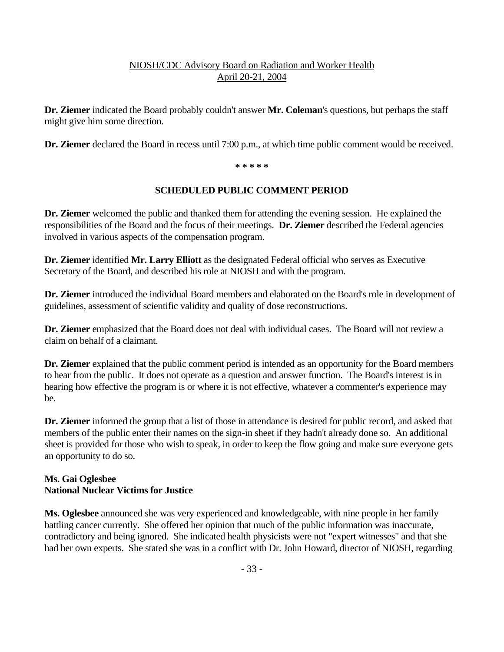**Dr. Ziemer** indicated the Board probably couldn't answer **Mr. Coleman**'s questions, but perhaps the staff might give him some direction.

**Dr. Ziemer** declared the Board in recess until 7:00 p.m., at which time public comment would be received.

**\* \* \* \* \***

### **SCHEDULED PUBLIC COMMENT PERIOD**

**Dr. Ziemer** welcomed the public and thanked them for attending the evening session. He explained the responsibilities of the Board and the focus of their meetings. **Dr. Ziemer** described the Federal agencies involved in various aspects of the compensation program.

**Dr. Ziemer** identified **Mr. Larry Elliott** as the designated Federal official who serves as Executive Secretary of the Board, and described his role at NIOSH and with the program.

**Dr. Ziemer** introduced the individual Board members and elaborated on the Board's role in development of guidelines, assessment of scientific validity and quality of dose reconstructions.

**Dr. Ziemer** emphasized that the Board does not deal with individual cases. The Board will not review a claim on behalf of a claimant.

**Dr. Ziemer** explained that the public comment period is intended as an opportunity for the Board members to hear from the public. It does not operate as a question and answer function. The Board's interest is in hearing how effective the program is or where it is not effective, whatever a commenter's experience may be.

**Dr. Ziemer** informed the group that a list of those in attendance is desired for public record, and asked that members of the public enter their names on the sign-in sheet if they hadn't already done so. An additional sheet is provided for those who wish to speak, in order to keep the flow going and make sure everyone gets an opportunity to do so.

# **Ms. Gai Oglesbee National Nuclear Victims for Justice**

**Ms. Oglesbee** announced she was very experienced and knowledgeable, with nine people in her family battling cancer currently. She offered her opinion that much of the public information was inaccurate, contradictory and being ignored. She indicated health physicists were not "expert witnesses" and that she had her own experts. She stated she was in a conflict with Dr. John Howard, director of NIOSH, regarding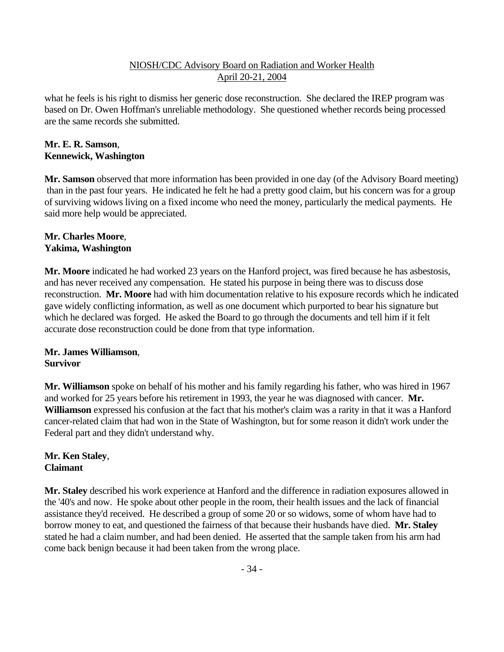what he feels is his right to dismiss her generic dose reconstruction. She declared the IREP program was based on Dr. Owen Hoffman's unreliable methodology. She questioned whether records being processed are the same records she submitted.

### **Mr. E. R. Samson**, **Kennewick, Washington**

**Mr. Samson** observed that more information has been provided in one day (of the Advisory Board meeting) than in the past four years. He indicated he felt he had a pretty good claim, but his concern was for a group of surviving widows living on a fixed income who need the money, particularly the medical payments. He said more help would be appreciated.

#### **Mr. Charles Moore**, **Yakima, Washington**

**Mr. Moore** indicated he had worked 23 years on the Hanford project, was fired because he has asbestosis, and has never received any compensation. He stated his purpose in being there was to discuss dose reconstruction. **Mr. Moore** had with him documentation relative to his exposure records which he indicated gave widely conflicting information, as well as one document which purported to bear his signature but which he declared was forged. He asked the Board to go through the documents and tell him if it felt accurate dose reconstruction could be done from that type information.

# **Mr. James Williamson**, **Survivor**

**Mr. Williamson** spoke on behalf of his mother and his family regarding his father, who was hired in 1967 and worked for 25 years before his retirement in 1993, the year he was diagnosed with cancer. **Mr. Williamson** expressed his confusion at the fact that his mother's claim was a rarity in that it was a Hanford cancer-related claim that had won in the State of Washington, but for some reason it didn't work under the Federal part and they didn't understand why.

# **Mr. Ken Staley**, **Claimant**

**Mr. Staley** described his work experience at Hanford and the difference in radiation exposures allowed in the '40's and now. He spoke about other people in the room, their health issues and the lack of financial assistance they'd received. He described a group of some 20 or so widows, some of whom have had to borrow money to eat, and questioned the fairness of that because their husbands have died. **Mr. Staley** stated he had a claim number, and had been denied. He asserted that the sample taken from his arm had come back benign because it had been taken from the wrong place.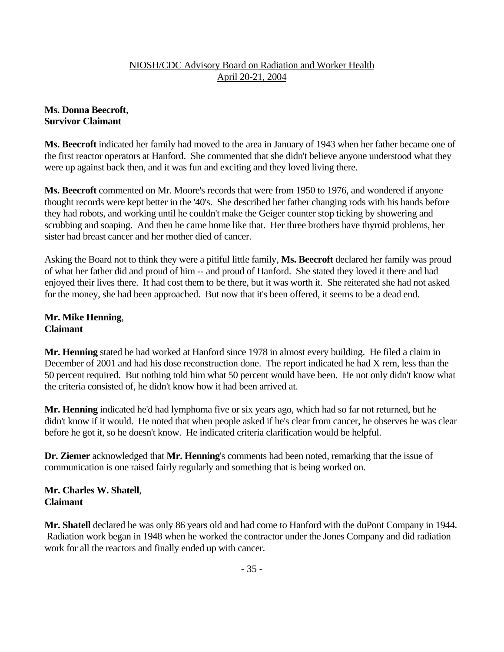# **Ms. Donna Beecroft**, **Survivor Claimant**

**Ms. Beecroft** indicated her family had moved to the area in January of 1943 when her father became one of the first reactor operators at Hanford. She commented that she didn't believe anyone understood what they were up against back then, and it was fun and exciting and they loved living there.

**Ms. Beecroft** commented on Mr. Moore's records that were from 1950 to 1976, and wondered if anyone thought records were kept better in the '40's. She described her father changing rods with his hands before they had robots, and working until he couldn't make the Geiger counter stop ticking by showering and scrubbing and soaping. And then he came home like that. Her three brothers have thyroid problems, her sister had breast cancer and her mother died of cancer.

Asking the Board not to think they were a pitiful little family, **Ms. Beecroft** declared her family was proud of what her father did and proud of him -- and proud of Hanford. She stated they loved it there and had enjoyed their lives there. It had cost them to be there, but it was worth it. She reiterated she had not asked for the money, she had been approached. But now that it's been offered, it seems to be a dead end.

# **Mr. Mike Henning**, **Claimant**

**Mr. Henning** stated he had worked at Hanford since 1978 in almost every building. He filed a claim in December of 2001 and had his dose reconstruction done. The report indicated he had X rem, less than the 50 percent required. But nothing told him what 50 percent would have been. He not only didn't know what the criteria consisted of, he didn't know how it had been arrived at.

**Mr. Henning** indicated he'd had lymphoma five or six years ago, which had so far not returned, but he didn't know if it would. He noted that when people asked if he's clear from cancer, he observes he was clear before he got it, so he doesn't know. He indicated criteria clarification would be helpful.

**Dr. Ziemer** acknowledged that **Mr. Henning**'s comments had been noted, remarking that the issue of communication is one raised fairly regularly and something that is being worked on.

### **Mr. Charles W. Shatell**, **Claimant**

**Mr. Shatell** declared he was only 86 years old and had come to Hanford with the duPont Company in 1944. Radiation work began in 1948 when he worked the contractor under the Jones Company and did radiation work for all the reactors and finally ended up with cancer.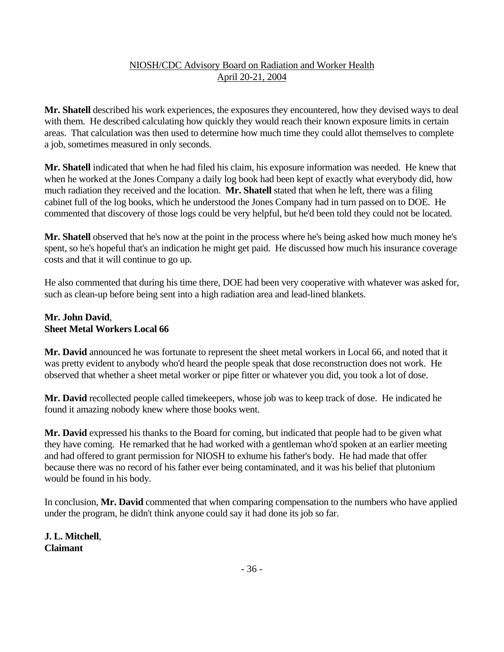**Mr. Shatell** described his work experiences, the exposures they encountered, how they devised ways to deal with them. He described calculating how quickly they would reach their known exposure limits in certain areas. That calculation was then used to determine how much time they could allot themselves to complete a job, sometimes measured in only seconds.

**Mr. Shatell** indicated that when he had filed his claim, his exposure information was needed. He knew that when he worked at the Jones Company a daily log book had been kept of exactly what everybody did, how much radiation they received and the location. **Mr. Shatell** stated that when he left, there was a filing cabinet full of the log books, which he understood the Jones Company had in turn passed on to DOE. He commented that discovery of those logs could be very helpful, but he'd been told they could not be located.

**Mr. Shatell** observed that he's now at the point in the process where he's being asked how much money he's spent, so he's hopeful that's an indication he might get paid. He discussed how much his insurance coverage costs and that it will continue to go up.

He also commented that during his time there, DOE had been very cooperative with whatever was asked for, such as clean-up before being sent into a high radiation area and lead-lined blankets.

### **Mr. John David**, **Sheet Metal Workers Local 66**

**Mr. David** announced he was fortunate to represent the sheet metal workers in Local 66, and noted that it was pretty evident to anybody who'd heard the people speak that dose reconstruction does not work. He observed that whether a sheet metal worker or pipe fitter or whatever you did, you took a lot of dose.

**Mr. David** recollected people called timekeepers, whose job was to keep track of dose. He indicated he found it amazing nobody knew where those books went.

**Mr. David** expressed his thanks to the Board for coming, but indicated that people had to be given what they have coming. He remarked that he had worked with a gentleman who'd spoken at an earlier meeting and had offered to grant permission for NIOSH to exhume his father's body. He had made that offer because there was no record of his father ever being contaminated, and it was his belief that plutonium would be found in his body.

In conclusion, **Mr. David** commented that when comparing compensation to the numbers who have applied under the program, he didn't think anyone could say it had done its job so far.

**J. L. Mitchell**, **Claimant**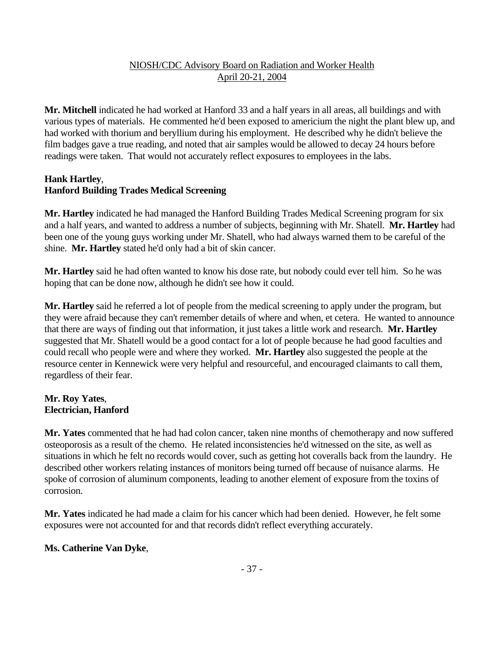**Mr. Mitchell** indicated he had worked at Hanford 33 and a half years in all areas, all buildings and with various types of materials. He commented he'd been exposed to americium the night the plant blew up, and had worked with thorium and beryllium during his employment. He described why he didn't believe the film badges gave a true reading, and noted that air samples would be allowed to decay 24 hours before readings were taken. That would not accurately reflect exposures to employees in the labs.

### **Hank Hartley**, **Hanford Building Trades Medical Screening**

**Mr. Hartley** indicated he had managed the Hanford Building Trades Medical Screening program for six and a half years, and wanted to address a number of subjects, beginning with Mr. Shatell. **Mr. Hartley** had been one of the young guys working under Mr. Shatell, who had always warned them to be careful of the shine. **Mr. Hartley** stated he'd only had a bit of skin cancer.

**Mr. Hartley** said he had often wanted to know his dose rate, but nobody could ever tell him. So he was hoping that can be done now, although he didn't see how it could.

**Mr. Hartley** said he referred a lot of people from the medical screening to apply under the program, but they were afraid because they can't remember details of where and when, et cetera. He wanted to announce that there are ways of finding out that information, it just takes a little work and research. **Mr. Hartley** suggested that Mr. Shatell would be a good contact for a lot of people because he had good faculties and could recall who people were and where they worked. **Mr. Hartley** also suggested the people at the resource center in Kennewick were very helpful and resourceful, and encouraged claimants to call them, regardless of their fear.

### **Mr. Roy Yates**, **Electrician, Hanford**

**Mr. Yates** commented that he had had colon cancer, taken nine months of chemotherapy and now suffered osteoporosis as a result of the chemo. He related inconsistencies he'd witnessed on the site, as well as situations in which he felt no records would cover, such as getting hot coveralls back from the laundry. He described other workers relating instances of monitors being turned off because of nuisance alarms. He spoke of corrosion of aluminum components, leading to another element of exposure from the toxins of corrosion.

**Mr. Yates** indicated he had made a claim for his cancer which had been denied. However, he felt some exposures were not accounted for and that records didn't reflect everything accurately.

# **Ms. Catherine Van Dyke**,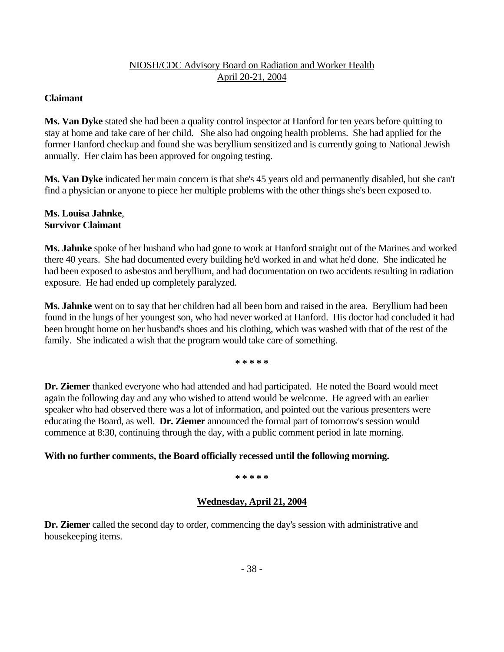### **Claimant**

**Ms. Van Dyke** stated she had been a quality control inspector at Hanford for ten years before quitting to stay at home and take care of her child. She also had ongoing health problems. She had applied for the former Hanford checkup and found she was beryllium sensitized and is currently going to National Jewish annually. Her claim has been approved for ongoing testing.

**Ms. Van Dyke** indicated her main concern is that she's 45 years old and permanently disabled, but she can't find a physician or anyone to piece her multiple problems with the other things she's been exposed to.

#### **Ms. Louisa Jahnke**, **Survivor Claimant**

**Ms. Jahnke** spoke of her husband who had gone to work at Hanford straight out of the Marines and worked there 40 years. She had documented every building he'd worked in and what he'd done. She indicated he had been exposed to asbestos and beryllium, and had documentation on two accidents resulting in radiation exposure. He had ended up completely paralyzed.

**Ms. Jahnke** went on to say that her children had all been born and raised in the area. Beryllium had been found in the lungs of her youngest son, who had never worked at Hanford. His doctor had concluded it had been brought home on her husband's shoes and his clothing, which was washed with that of the rest of the family. She indicated a wish that the program would take care of something.

 **\* \* \* \* \***

**Dr. Ziemer** thanked everyone who had attended and had participated. He noted the Board would meet again the following day and any who wished to attend would be welcome. He agreed with an earlier speaker who had observed there was a lot of information, and pointed out the various presenters were educating the Board, as well. **Dr. Ziemer** announced the formal part of tomorrow's session would commence at 8:30, continuing through the day, with a public comment period in late morning.

### **With no further comments, the Board officially recessed until the following morning.**

 **\* \* \* \* \***

### **Wednesday, April 21, 2004**

**Dr. Ziemer** called the second day to order, commencing the day's session with administrative and housekeeping items.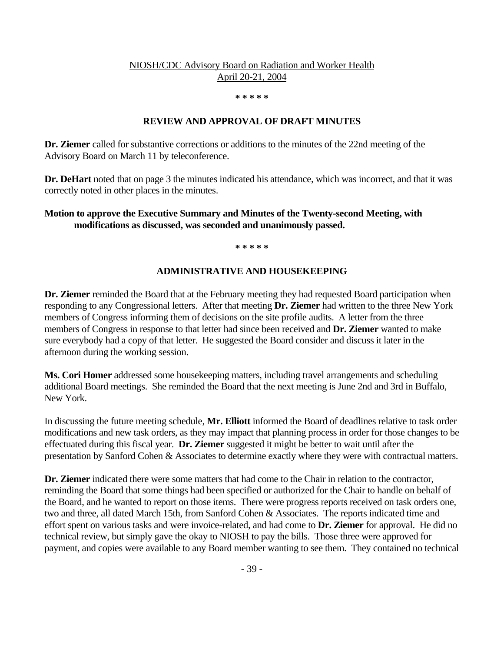**\* \* \* \* \***

#### **REVIEW AND APPROVAL OF DRAFT MINUTES**

**Dr. Ziemer** called for substantive corrections or additions to the minutes of the 22nd meeting of the Advisory Board on March 11 by teleconference.

**Dr. DeHart** noted that on page 3 the minutes indicated his attendance, which was incorrect, and that it was correctly noted in other places in the minutes.

#### **Motion to approve the Executive Summary and Minutes of the Twenty-second Meeting, with modifications as discussed, was seconded and unanimously passed.**

 **\* \* \* \* \***

#### **ADMINISTRATIVE AND HOUSEKEEPING**

**Dr. Ziemer** reminded the Board that at the February meeting they had requested Board participation when responding to any Congressional letters. After that meeting **Dr. Ziemer** had written to the three New York members of Congress informing them of decisions on the site profile audits. A letter from the three members of Congress in response to that letter had since been received and **Dr. Ziemer** wanted to make sure everybody had a copy of that letter. He suggested the Board consider and discuss it later in the afternoon during the working session.

**Ms. Cori Homer** addressed some housekeeping matters, including travel arrangements and scheduling additional Board meetings. She reminded the Board that the next meeting is June 2nd and 3rd in Buffalo, New York.

In discussing the future meeting schedule, **Mr. Elliott** informed the Board of deadlines relative to task order modifications and new task orders, as they may impact that planning process in order for those changes to be effectuated during this fiscal year. **Dr. Ziemer** suggested it might be better to wait until after the presentation by Sanford Cohen & Associates to determine exactly where they were with contractual matters.

**Dr. Ziemer** indicated there were some matters that had come to the Chair in relation to the contractor, reminding the Board that some things had been specified or authorized for the Chair to handle on behalf of the Board, and he wanted to report on those items. There were progress reports received on task orders one, two and three, all dated March 15th, from Sanford Cohen & Associates. The reports indicated time and effort spent on various tasks and were invoice-related, and had come to **Dr. Ziemer** for approval. He did no technical review, but simply gave the okay to NIOSH to pay the bills. Those three were approved for payment, and copies were available to any Board member wanting to see them. They contained no technical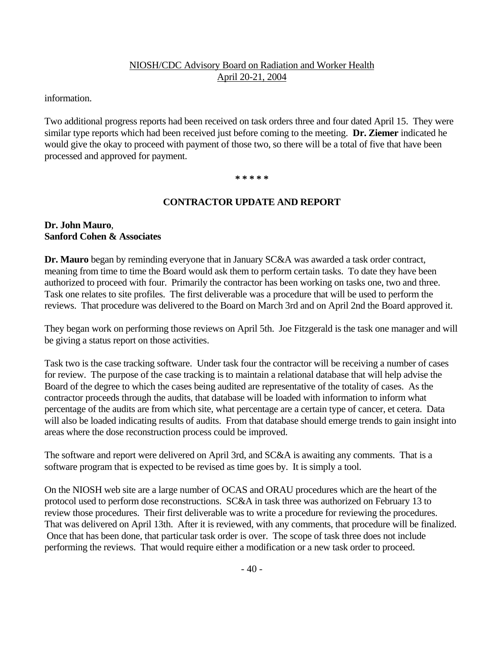information.

Two additional progress reports had been received on task orders three and four dated April 15. They were similar type reports which had been received just before coming to the meeting. **Dr. Ziemer** indicated he would give the okay to proceed with payment of those two, so there will be a total of five that have been processed and approved for payment.

 **\* \* \* \* \***

### **CONTRACTOR UPDATE AND REPORT**

#### **Dr. John Mauro**, **Sanford Cohen & Associates**

**Dr. Mauro** began by reminding everyone that in January SC&A was awarded a task order contract, meaning from time to time the Board would ask them to perform certain tasks. To date they have been authorized to proceed with four. Primarily the contractor has been working on tasks one, two and three. Task one relates to site profiles. The first deliverable was a procedure that will be used to perform the reviews. That procedure was delivered to the Board on March 3rd and on April 2nd the Board approved it.

They began work on performing those reviews on April 5th. Joe Fitzgerald is the task one manager and will be giving a status report on those activities.

Task two is the case tracking software. Under task four the contractor will be receiving a number of cases for review. The purpose of the case tracking is to maintain a relational database that will help advise the Board of the degree to which the cases being audited are representative of the totality of cases. As the contractor proceeds through the audits, that database will be loaded with information to inform what percentage of the audits are from which site, what percentage are a certain type of cancer, et cetera. Data will also be loaded indicating results of audits. From that database should emerge trends to gain insight into areas where the dose reconstruction process could be improved.

The software and report were delivered on April 3rd, and SC&A is awaiting any comments. That is a software program that is expected to be revised as time goes by. It is simply a tool.

On the NIOSH web site are a large number of OCAS and ORAU procedures which are the heart of the protocol used to perform dose reconstructions. SC&A in task three was authorized on February 13 to review those procedures. Their first deliverable was to write a procedure for reviewing the procedures. That was delivered on April 13th. After it is reviewed, with any comments, that procedure will be finalized. Once that has been done, that particular task order is over. The scope of task three does not include performing the reviews. That would require either a modification or a new task order to proceed.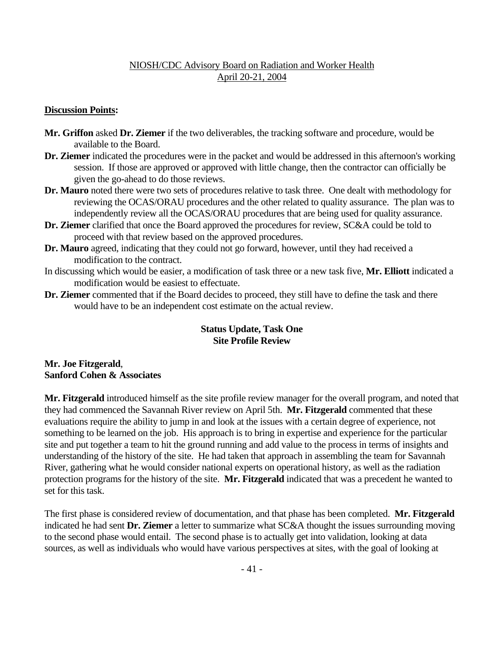#### **Discussion Points:**

- **Mr. Griffon** asked **Dr. Ziemer** if the two deliverables, the tracking software and procedure, would be available to the Board.
- **Dr. Ziemer** indicated the procedures were in the packet and would be addressed in this afternoon's working session. If those are approved or approved with little change, then the contractor can officially be given the go-ahead to do those reviews.
- **Dr. Mauro** noted there were two sets of procedures relative to task three. One dealt with methodology for reviewing the OCAS/ORAU procedures and the other related to quality assurance. The plan was to independently review all the OCAS/ORAU procedures that are being used for quality assurance.
- **Dr. Ziemer** clarified that once the Board approved the procedures for review, SC&A could be told to proceed with that review based on the approved procedures.
- **Dr. Mauro** agreed, indicating that they could not go forward, however, until they had received a modification to the contract.
- In discussing which would be easier, a modification of task three or a new task five, **Mr. Elliott** indicated a modification would be easiest to effectuate.
- **Dr. Ziemer** commented that if the Board decides to proceed, they still have to define the task and there would have to be an independent cost estimate on the actual review.

### **Status Update, Task One Site Profile Review**

### **Mr. Joe Fitzgerald**, **Sanford Cohen & Associates**

**Mr. Fitzgerald** introduced himself as the site profile review manager for the overall program, and noted that they had commenced the Savannah River review on April 5th. **Mr. Fitzgerald** commented that these evaluations require the ability to jump in and look at the issues with a certain degree of experience, not something to be learned on the job. His approach is to bring in expertise and experience for the particular site and put together a team to hit the ground running and add value to the process in terms of insights and understanding of the history of the site. He had taken that approach in assembling the team for Savannah River, gathering what he would consider national experts on operational history, as well as the radiation protection programs for the history of the site. **Mr. Fitzgerald** indicated that was a precedent he wanted to set for this task.

The first phase is considered review of documentation, and that phase has been completed. **Mr. Fitzgerald**  indicated he had sent **Dr. Ziemer** a letter to summarize what SC&A thought the issues surrounding moving to the second phase would entail. The second phase is to actually get into validation, looking at data sources, as well as individuals who would have various perspectives at sites, with the goal of looking at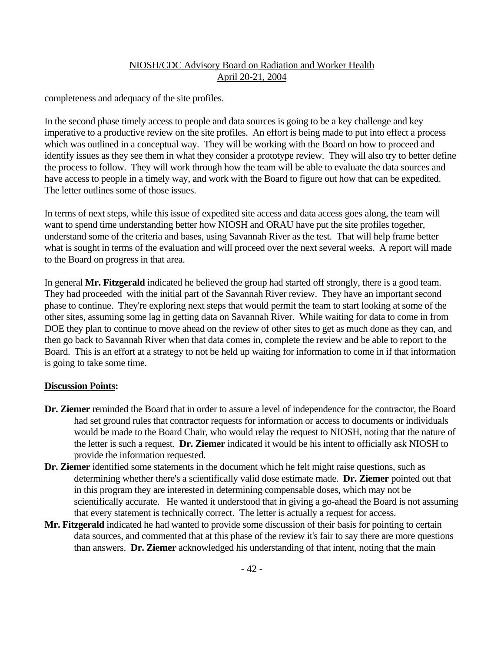completeness and adequacy of the site profiles.

In the second phase timely access to people and data sources is going to be a key challenge and key imperative to a productive review on the site profiles. An effort is being made to put into effect a process which was outlined in a conceptual way. They will be working with the Board on how to proceed and identify issues as they see them in what they consider a prototype review. They will also try to better define the process to follow. They will work through how the team will be able to evaluate the data sources and have access to people in a timely way, and work with the Board to figure out how that can be expedited. The letter outlines some of those issues.

In terms of next steps, while this issue of expedited site access and data access goes along, the team will want to spend time understanding better how NIOSH and ORAU have put the site profiles together, understand some of the criteria and bases, using Savannah River as the test. That will help frame better what is sought in terms of the evaluation and will proceed over the next several weeks. A report will made to the Board on progress in that area.

In general **Mr. Fitzgerald** indicated he believed the group had started off strongly, there is a good team. They had proceeded with the initial part of the Savannah River review. They have an important second phase to continue. They're exploring next steps that would permit the team to start looking at some of the other sites, assuming some lag in getting data on Savannah River. While waiting for data to come in from DOE they plan to continue to move ahead on the review of other sites to get as much done as they can, and then go back to Savannah River when that data comes in, complete the review and be able to report to the Board. This is an effort at a strategy to not be held up waiting for information to come in if that information is going to take some time.

#### **Discussion Points:**

- **Dr. Ziemer** reminded the Board that in order to assure a level of independence for the contractor, the Board had set ground rules that contractor requests for information or access to documents or individuals would be made to the Board Chair, who would relay the request to NIOSH, noting that the nature of the letter is such a request. **Dr. Ziemer** indicated it would be his intent to officially ask NIOSH to provide the information requested.
- **Dr. Ziemer** identified some statements in the document which he felt might raise questions, such as determining whether there's a scientifically valid dose estimate made. **Dr. Ziemer** pointed out that in this program they are interested in determining compensable doses, which may not be scientifically accurate. He wanted it understood that in giving a go-ahead the Board is not assuming that every statement is technically correct. The letter is actually a request for access.
- **Mr. Fitzgerald** indicated he had wanted to provide some discussion of their basis for pointing to certain data sources, and commented that at this phase of the review it's fair to say there are more questions than answers. **Dr. Ziemer** acknowledged his understanding of that intent, noting that the main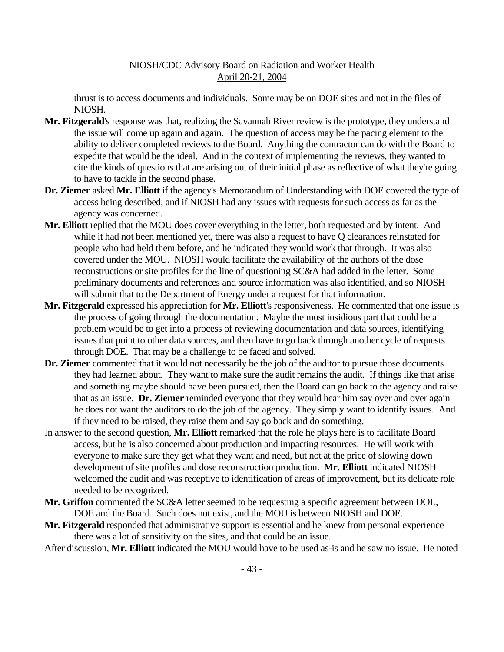thrust is to access documents and individuals. Some may be on DOE sites and not in the files of NIOSH.

- **Mr. Fitzgerald**'s response was that, realizing the Savannah River review is the prototype, they understand the issue will come up again and again. The question of access may be the pacing element to the ability to deliver completed reviews to the Board. Anything the contractor can do with the Board to expedite that would be the ideal. And in the context of implementing the reviews, they wanted to cite the kinds of questions that are arising out of their initial phase as reflective of what they're going to have to tackle in the second phase.
- **Dr. Ziemer** asked **Mr. Elliott** if the agency's Memorandum of Understanding with DOE covered the type of access being described, and if NIOSH had any issues with requests for such access as far as the agency was concerned.
- **Mr. Elliott** replied that the MOU does cover everything in the letter, both requested and by intent. And while it had not been mentioned yet, there was also a request to have Q clearances reinstated for people who had held them before, and he indicated they would work that through. It was also covered under the MOU. NIOSH would facilitate the availability of the authors of the dose reconstructions or site profiles for the line of questioning SC&A had added in the letter. Some preliminary documents and references and source information was also identified, and so NIOSH will submit that to the Department of Energy under a request for that information.
- **Mr. Fitzgerald** expressed his appreciation for **Mr. Elliott**'s responsiveness. He commented that one issue is the process of going through the documentation. Maybe the most insidious part that could be a problem would be to get into a process of reviewing documentation and data sources, identifying issues that point to other data sources, and then have to go back through another cycle of requests through DOE. That may be a challenge to be faced and solved.
- **Dr. Ziemer** commented that it would not necessarily be the job of the auditor to pursue those documents they had learned about. They want to make sure the audit remains the audit. If things like that arise and something maybe should have been pursued, then the Board can go back to the agency and raise that as an issue. **Dr. Ziemer** reminded everyone that they would hear him say over and over again he does not want the auditors to do the job of the agency. They simply want to identify issues. And if they need to be raised, they raise them and say go back and do something.
- In answer to the second question, **Mr. Elliott** remarked that the role he plays here is to facilitate Board access, but he is also concerned about production and impacting resources. He will work with everyone to make sure they get what they want and need, but not at the price of slowing down development of site profiles and dose reconstruction production. **Mr. Elliott** indicated NIOSH welcomed the audit and was receptive to identification of areas of improvement, but its delicate role needed to be recognized.
- **Mr. Griffon** commented the SC&A letter seemed to be requesting a specific agreement between DOL, DOE and the Board. Such does not exist, and the MOU is between NIOSH and DOE.
- **Mr. Fitzgerald** responded that administrative support is essential and he knew from personal experience there was a lot of sensitivity on the sites, and that could be an issue.

After discussion, **Mr. Elliott** indicated the MOU would have to be used as-is and he saw no issue. He noted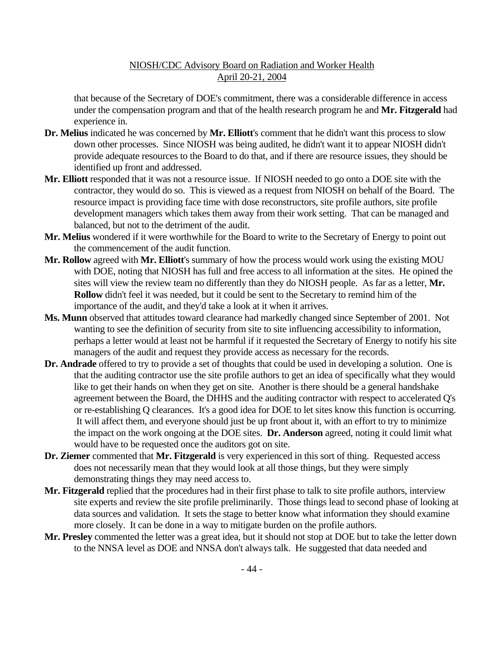that because of the Secretary of DOE's commitment, there was a considerable difference in access under the compensation program and that of the health research program he and **Mr. Fitzgerald** had experience in.

- **Dr. Melius** indicated he was concerned by **Mr. Elliott**'s comment that he didn't want this process to slow down other processes. Since NIOSH was being audited, he didn't want it to appear NIOSH didn't provide adequate resources to the Board to do that, and if there are resource issues, they should be identified up front and addressed.
- **Mr. Elliott** responded that it was not a resource issue. If NIOSH needed to go onto a DOE site with the contractor, they would do so. This is viewed as a request from NIOSH on behalf of the Board. The resource impact is providing face time with dose reconstructors, site profile authors, site profile development managers which takes them away from their work setting. That can be managed and balanced, but not to the detriment of the audit.
- **Mr. Melius** wondered if it were worthwhile for the Board to write to the Secretary of Energy to point out the commencement of the audit function.
- **Mr. Rollow** agreed with **Mr. Elliott**'s summary of how the process would work using the existing MOU with DOE, noting that NIOSH has full and free access to all information at the sites. He opined the sites will view the review team no differently than they do NIOSH people. As far as a letter, **Mr. Rollow** didn't feel it was needed, but it could be sent to the Secretary to remind him of the importance of the audit, and they'd take a look at it when it arrives.
- **Ms. Munn** observed that attitudes toward clearance had markedly changed since September of 2001. Not wanting to see the definition of security from site to site influencing accessibility to information, perhaps a letter would at least not be harmful if it requested the Secretary of Energy to notify his site managers of the audit and request they provide access as necessary for the records.
- **Dr. Andrade** offered to try to provide a set of thoughts that could be used in developing a solution. One is that the auditing contractor use the site profile authors to get an idea of specifically what they would like to get their hands on when they get on site. Another is there should be a general handshake agreement between the Board, the DHHS and the auditing contractor with respect to accelerated Q's or re-establishing Q clearances. It's a good idea for DOE to let sites know this function is occurring. It will affect them, and everyone should just be up front about it, with an effort to try to minimize the impact on the work ongoing at the DOE sites. **Dr. Anderson** agreed, noting it could limit what would have to be requested once the auditors got on site.
- **Dr. Ziemer** commented that **Mr. Fitzgerald** is very experienced in this sort of thing. Requested access does not necessarily mean that they would look at all those things, but they were simply demonstrating things they may need access to.
- **Mr. Fitzgerald** replied that the procedures had in their first phase to talk to site profile authors, interview site experts and review the site profile preliminarily. Those things lead to second phase of looking at data sources and validation. It sets the stage to better know what information they should examine more closely. It can be done in a way to mitigate burden on the profile authors.
- **Mr. Presley** commented the letter was a great idea, but it should not stop at DOE but to take the letter down to the NNSA level as DOE and NNSA don't always talk. He suggested that data needed and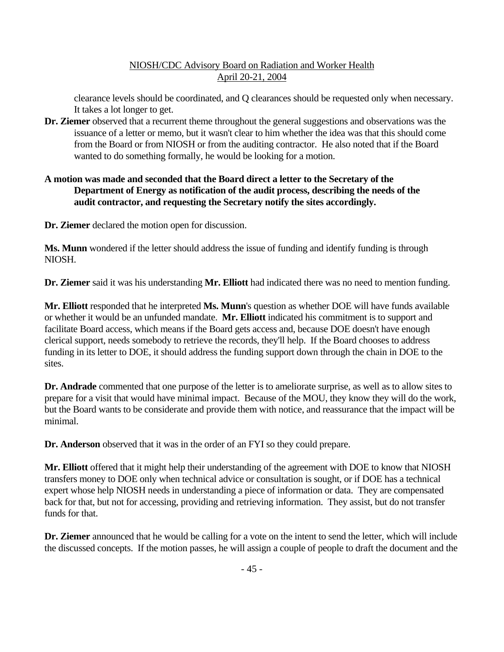clearance levels should be coordinated, and Q clearances should be requested only when necessary. It takes a lot longer to get.

**Dr. Ziemer** observed that a recurrent theme throughout the general suggestions and observations was the issuance of a letter or memo, but it wasn't clear to him whether the idea was that this should come from the Board or from NIOSH or from the auditing contractor. He also noted that if the Board wanted to do something formally, he would be looking for a motion.

### **A motion was made and seconded that the Board direct a letter to the Secretary of the Department of Energy as notification of the audit process, describing the needs of the audit contractor, and requesting the Secretary notify the sites accordingly.**

**Dr. Ziemer** declared the motion open for discussion.

**Ms. Munn** wondered if the letter should address the issue of funding and identify funding is through NIOSH.

**Dr. Ziemer** said it was his understanding **Mr. Elliott** had indicated there was no need to mention funding.

**Mr. Elliott** responded that he interpreted **Ms. Munn**'s question as whether DOE will have funds available or whether it would be an unfunded mandate. **Mr. Elliott** indicated his commitment is to support and facilitate Board access, which means if the Board gets access and, because DOE doesn't have enough clerical support, needs somebody to retrieve the records, they'll help. If the Board chooses to address funding in its letter to DOE, it should address the funding support down through the chain in DOE to the sites.

**Dr. Andrade** commented that one purpose of the letter is to ameliorate surprise, as well as to allow sites to prepare for a visit that would have minimal impact. Because of the MOU, they know they will do the work, but the Board wants to be considerate and provide them with notice, and reassurance that the impact will be minimal.

**Dr. Anderson** observed that it was in the order of an FYI so they could prepare.

**Mr. Elliott** offered that it might help their understanding of the agreement with DOE to know that NIOSH transfers money to DOE only when technical advice or consultation is sought, or if DOE has a technical expert whose help NIOSH needs in understanding a piece of information or data. They are compensated back for that, but not for accessing, providing and retrieving information. They assist, but do not transfer funds for that.

**Dr. Ziemer** announced that he would be calling for a vote on the intent to send the letter, which will include the discussed concepts. If the motion passes, he will assign a couple of people to draft the document and the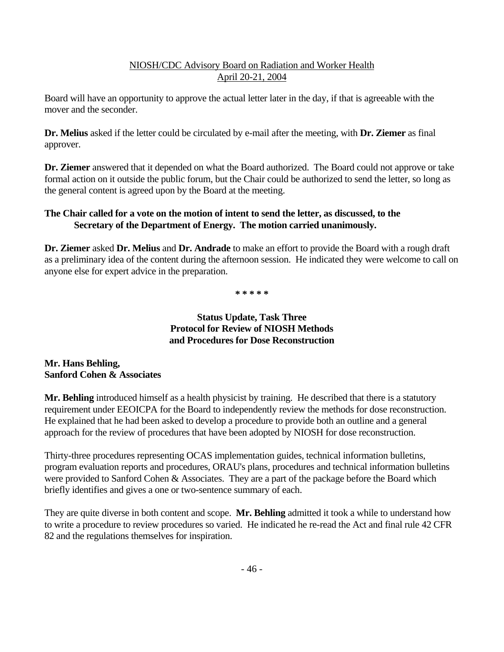Board will have an opportunity to approve the actual letter later in the day, if that is agreeable with the mover and the seconder.

**Dr. Melius** asked if the letter could be circulated by e-mail after the meeting, with **Dr. Ziemer** as final approver.

**Dr. Ziemer** answered that it depended on what the Board authorized. The Board could not approve or take formal action on it outside the public forum, but the Chair could be authorized to send the letter, so long as the general content is agreed upon by the Board at the meeting.

# **The Chair called for a vote on the motion of intent to send the letter, as discussed, to the Secretary of the Department of Energy. The motion carried unanimously.**

**Dr. Ziemer** asked **Dr. Melius** and **Dr. Andrade** to make an effort to provide the Board with a rough draft as a preliminary idea of the content during the afternoon session. He indicated they were welcome to call on anyone else for expert advice in the preparation.

 **\* \* \* \* \***

### **Status Update, Task Three Protocol for Review of NIOSH Methods and Procedures for Dose Reconstruction**

### **Mr. Hans Behling, Sanford Cohen & Associates**

**Mr. Behling** introduced himself as a health physicist by training. He described that there is a statutory requirement under EEOICPA for the Board to independently review the methods for dose reconstruction. He explained that he had been asked to develop a procedure to provide both an outline and a general approach for the review of procedures that have been adopted by NIOSH for dose reconstruction.

Thirty-three procedures representing OCAS implementation guides, technical information bulletins, program evaluation reports and procedures, ORAU's plans, procedures and technical information bulletins were provided to Sanford Cohen & Associates. They are a part of the package before the Board which briefly identifies and gives a one or two-sentence summary of each.

They are quite diverse in both content and scope. **Mr. Behling** admitted it took a while to understand how to write a procedure to review procedures so varied. He indicated he re-read the Act and final rule 42 CFR 82 and the regulations themselves for inspiration.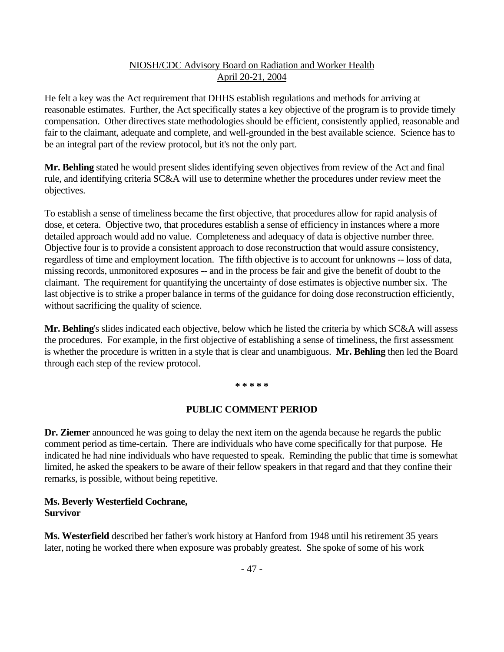He felt a key was the Act requirement that DHHS establish regulations and methods for arriving at reasonable estimates. Further, the Act specifically states a key objective of the program is to provide timely compensation. Other directives state methodologies should be efficient, consistently applied, reasonable and fair to the claimant, adequate and complete, and well-grounded in the best available science. Science has to be an integral part of the review protocol, but it's not the only part.

**Mr. Behling** stated he would present slides identifying seven objectives from review of the Act and final rule, and identifying criteria SC&A will use to determine whether the procedures under review meet the objectives.

To establish a sense of timeliness became the first objective, that procedures allow for rapid analysis of dose, et cetera. Objective two, that procedures establish a sense of efficiency in instances where a more detailed approach would add no value. Completeness and adequacy of data is objective number three. Objective four is to provide a consistent approach to dose reconstruction that would assure consistency, regardless of time and employment location. The fifth objective is to account for unknowns -- loss of data, missing records, unmonitored exposures -- and in the process be fair and give the benefit of doubt to the claimant. The requirement for quantifying the uncertainty of dose estimates is objective number six. The last objective is to strike a proper balance in terms of the guidance for doing dose reconstruction efficiently, without sacrificing the quality of science.

**Mr. Behling**'s slides indicated each objective, below which he listed the criteria by which SC&A will assess the procedures. For example, in the first objective of establishing a sense of timeliness, the first assessment is whether the procedure is written in a style that is clear and unambiguous. **Mr. Behling** then led the Board through each step of the review protocol.

#### **\* \* \* \* \***

#### **PUBLIC COMMENT PERIOD**

**Dr. Ziemer** announced he was going to delay the next item on the agenda because he regards the public comment period as time-certain. There are individuals who have come specifically for that purpose. He indicated he had nine individuals who have requested to speak. Reminding the public that time is somewhat limited, he asked the speakers to be aware of their fellow speakers in that regard and that they confine their remarks, is possible, without being repetitive.

#### **Ms. Beverly Westerfield Cochrane, Survivor**

**Ms. Westerfield** described her father's work history at Hanford from 1948 until his retirement 35 years later, noting he worked there when exposure was probably greatest. She spoke of some of his work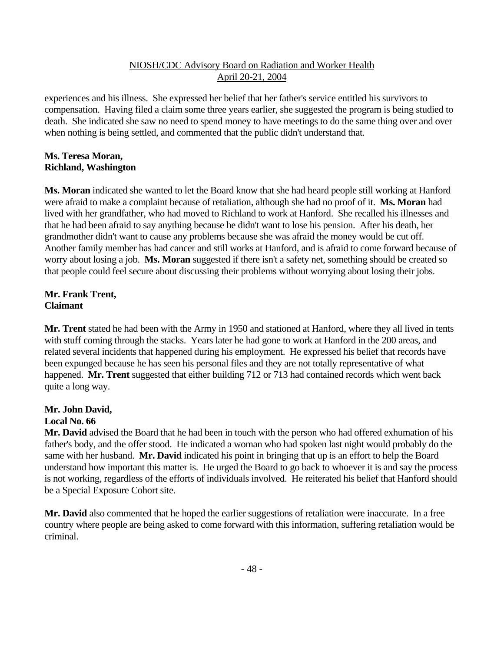experiences and his illness. She expressed her belief that her father's service entitled his survivors to compensation. Having filed a claim some three years earlier, she suggested the program is being studied to death. She indicated she saw no need to spend money to have meetings to do the same thing over and over when nothing is being settled, and commented that the public didn't understand that.

#### **Ms. Teresa Moran, Richland, Washington**

**Ms. Moran** indicated she wanted to let the Board know that she had heard people still working at Hanford were afraid to make a complaint because of retaliation, although she had no proof of it. **Ms. Moran** had lived with her grandfather, who had moved to Richland to work at Hanford. She recalled his illnesses and that he had been afraid to say anything because he didn't want to lose his pension. After his death, her grandmother didn't want to cause any problems because she was afraid the money would be cut off. Another family member has had cancer and still works at Hanford, and is afraid to come forward because of worry about losing a job. **Ms. Moran** suggested if there isn't a safety net, something should be created so that people could feel secure about discussing their problems without worrying about losing their jobs.

### **Mr. Frank Trent, Claimant**

**Mr. Trent** stated he had been with the Army in 1950 and stationed at Hanford, where they all lived in tents with stuff coming through the stacks. Years later he had gone to work at Hanford in the 200 areas, and related several incidents that happened during his employment. He expressed his belief that records have been expunged because he has seen his personal files and they are not totally representative of what happened. **Mr. Trent** suggested that either building 712 or 713 had contained records which went back quite a long way.

#### **Mr. John David, Local No. 66**

**Mr. David** advised the Board that he had been in touch with the person who had offered exhumation of his father's body, and the offer stood. He indicated a woman who had spoken last night would probably do the same with her husband. **Mr. David** indicated his point in bringing that up is an effort to help the Board understand how important this matter is. He urged the Board to go back to whoever it is and say the process is not working, regardless of the efforts of individuals involved. He reiterated his belief that Hanford should be a Special Exposure Cohort site.

**Mr. David** also commented that he hoped the earlier suggestions of retaliation were inaccurate. In a free country where people are being asked to come forward with this information, suffering retaliation would be criminal.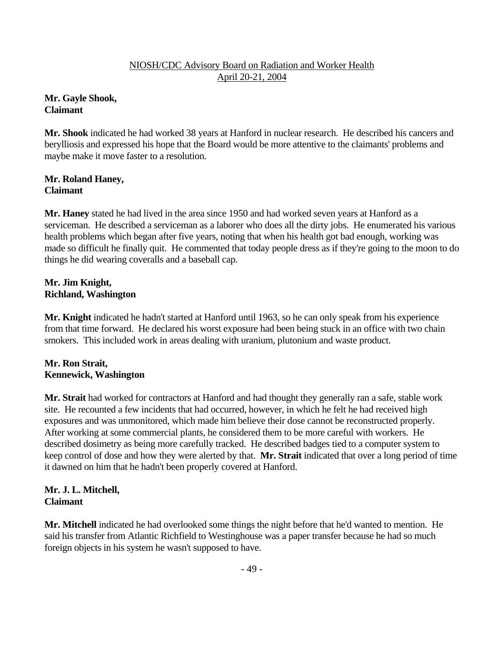**Mr. Gayle Shook, Claimant**

**Mr. Shook** indicated he had worked 38 years at Hanford in nuclear research. He described his cancers and berylliosis and expressed his hope that the Board would be more attentive to the claimants' problems and maybe make it move faster to a resolution.

# **Mr. Roland Haney, Claimant**

**Mr. Haney** stated he had lived in the area since 1950 and had worked seven years at Hanford as a serviceman. He described a serviceman as a laborer who does all the dirty jobs. He enumerated his various health problems which began after five years, noting that when his health got bad enough, working was made so difficult he finally quit. He commented that today people dress as if they're going to the moon to do things he did wearing coveralls and a baseball cap.

### **Mr. Jim Knight, Richland, Washington**

**Mr. Knight** indicated he hadn't started at Hanford until 1963, so he can only speak from his experience from that time forward. He declared his worst exposure had been being stuck in an office with two chain smokers. This included work in areas dealing with uranium, plutonium and waste product.

### **Mr. Ron Strait, Kennewick, Washington**

**Mr. Strait** had worked for contractors at Hanford and had thought they generally ran a safe, stable work site. He recounted a few incidents that had occurred, however, in which he felt he had received high exposures and was unmonitored, which made him believe their dose cannot be reconstructed properly. After working at some commercial plants, he considered them to be more careful with workers. He described dosimetry as being more carefully tracked. He described badges tied to a computer system to keep control of dose and how they were alerted by that. **Mr. Strait** indicated that over a long period of time it dawned on him that he hadn't been properly covered at Hanford.

# **Mr. J. L. Mitchell, Claimant**

**Mr. Mitchell** indicated he had overlooked some things the night before that he'd wanted to mention. He said his transfer from Atlantic Richfield to Westinghouse was a paper transfer because he had so much foreign objects in his system he wasn't supposed to have.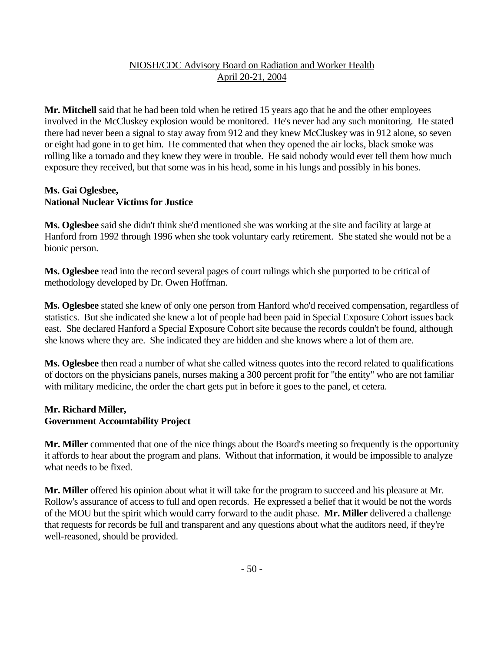**Mr. Mitchell** said that he had been told when he retired 15 years ago that he and the other employees involved in the McCluskey explosion would be monitored. He's never had any such monitoring. He stated there had never been a signal to stay away from 912 and they knew McCluskey was in 912 alone, so seven or eight had gone in to get him. He commented that when they opened the air locks, black smoke was rolling like a tornado and they knew they were in trouble. He said nobody would ever tell them how much exposure they received, but that some was in his head, some in his lungs and possibly in his bones.

#### **Ms. Gai Oglesbee, National Nuclear Victims for Justice**

**Ms. Oglesbee** said she didn't think she'd mentioned she was working at the site and facility at large at Hanford from 1992 through 1996 when she took voluntary early retirement. She stated she would not be a bionic person.

**Ms. Oglesbee** read into the record several pages of court rulings which she purported to be critical of methodology developed by Dr. Owen Hoffman.

**Ms. Oglesbee** stated she knew of only one person from Hanford who'd received compensation, regardless of statistics. But she indicated she knew a lot of people had been paid in Special Exposure Cohort issues back east. She declared Hanford a Special Exposure Cohort site because the records couldn't be found, although she knows where they are. She indicated they are hidden and she knows where a lot of them are.

**Ms. Oglesbee** then read a number of what she called witness quotes into the record related to qualifications of doctors on the physicians panels, nurses making a 300 percent profit for "the entity" who are not familiar with military medicine, the order the chart gets put in before it goes to the panel, et cetera.

### **Mr. Richard Miller, Government Accountability Project**

**Mr. Miller** commented that one of the nice things about the Board's meeting so frequently is the opportunity it affords to hear about the program and plans. Without that information, it would be impossible to analyze what needs to be fixed.

**Mr. Miller** offered his opinion about what it will take for the program to succeed and his pleasure at Mr. Rollow's assurance of access to full and open records. He expressed a belief that it would be not the words of the MOU but the spirit which would carry forward to the audit phase. **Mr. Miller** delivered a challenge that requests for records be full and transparent and any questions about what the auditors need, if they're well-reasoned, should be provided.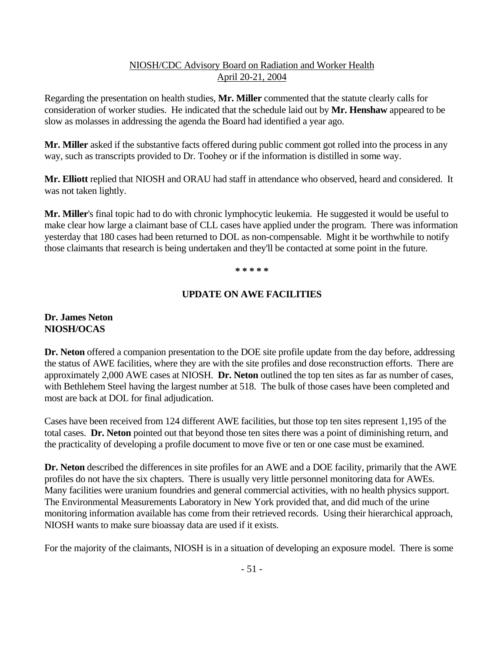Regarding the presentation on health studies, **Mr. Miller** commented that the statute clearly calls for consideration of worker studies. He indicated that the schedule laid out by **Mr. Henshaw** appeared to be slow as molasses in addressing the agenda the Board had identified a year ago.

**Mr. Miller** asked if the substantive facts offered during public comment got rolled into the process in any way, such as transcripts provided to Dr. Toohey or if the information is distilled in some way.

**Mr. Elliott** replied that NIOSH and ORAU had staff in attendance who observed, heard and considered. It was not taken lightly.

**Mr. Miller**'s final topic had to do with chronic lymphocytic leukemia. He suggested it would be useful to make clear how large a claimant base of CLL cases have applied under the program. There was information yesterday that 180 cases had been returned to DOL as non-compensable. Might it be worthwhile to notify those claimants that research is being undertaken and they'll be contacted at some point in the future.

#### **\* \* \* \* \***

### **UPDATE ON AWE FACILITIES**

# **Dr. James Neton NIOSH/OCAS**

**Dr. Neton** offered a companion presentation to the DOE site profile update from the day before, addressing the status of AWE facilities, where they are with the site profiles and dose reconstruction efforts. There are approximately 2,000 AWE cases at NIOSH. **Dr. Neton** outlined the top ten sites as far as number of cases, with Bethlehem Steel having the largest number at 518. The bulk of those cases have been completed and most are back at DOL for final adjudication.

Cases have been received from 124 different AWE facilities, but those top ten sites represent 1,195 of the total cases. **Dr. Neton** pointed out that beyond those ten sites there was a point of diminishing return, and the practicality of developing a profile document to move five or ten or one case must be examined.

**Dr. Neton** described the differences in site profiles for an AWE and a DOE facility, primarily that the AWE profiles do not have the six chapters. There is usually very little personnel monitoring data for AWEs. Many facilities were uranium foundries and general commercial activities, with no health physics support. The Environmental Measurements Laboratory in New York provided that, and did much of the urine monitoring information available has come from their retrieved records. Using their hierarchical approach, NIOSH wants to make sure bioassay data are used if it exists.

For the majority of the claimants, NIOSH is in a situation of developing an exposure model. There is some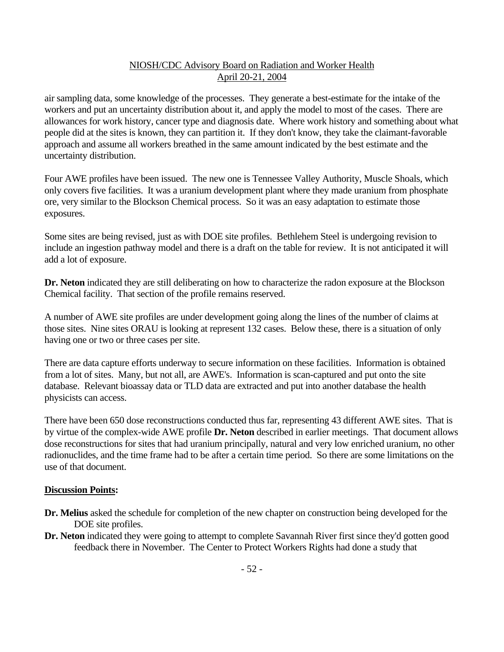air sampling data, some knowledge of the processes. They generate a best-estimate for the intake of the workers and put an uncertainty distribution about it, and apply the model to most of the cases. There are allowances for work history, cancer type and diagnosis date. Where work history and something about what people did at the sites is known, they can partition it. If they don't know, they take the claimant-favorable approach and assume all workers breathed in the same amount indicated by the best estimate and the uncertainty distribution.

Four AWE profiles have been issued. The new one is Tennessee Valley Authority, Muscle Shoals, which only covers five facilities. It was a uranium development plant where they made uranium from phosphate ore, very similar to the Blockson Chemical process. So it was an easy adaptation to estimate those exposures.

Some sites are being revised, just as with DOE site profiles. Bethlehem Steel is undergoing revision to include an ingestion pathway model and there is a draft on the table for review. It is not anticipated it will add a lot of exposure.

**Dr. Neton** indicated they are still deliberating on how to characterize the radon exposure at the Blockson Chemical facility. That section of the profile remains reserved.

A number of AWE site profiles are under development going along the lines of the number of claims at those sites. Nine sites ORAU is looking at represent 132 cases. Below these, there is a situation of only having one or two or three cases per site.

There are data capture efforts underway to secure information on these facilities. Information is obtained from a lot of sites. Many, but not all, are AWE's. Information is scan-captured and put onto the site database. Relevant bioassay data or TLD data are extracted and put into another database the health physicists can access.

There have been 650 dose reconstructions conducted thus far, representing 43 different AWE sites. That is by virtue of the complex-wide AWE profile **Dr. Neton** described in earlier meetings. That document allows dose reconstructions for sites that had uranium principally, natural and very low enriched uranium, no other radionuclides, and the time frame had to be after a certain time period. So there are some limitations on the use of that document.

#### **Discussion Points:**

- **Dr. Melius** asked the schedule for completion of the new chapter on construction being developed for the DOE site profiles.
- **Dr. Neton** indicated they were going to attempt to complete Savannah River first since they'd gotten good feedback there in November. The Center to Protect Workers Rights had done a study that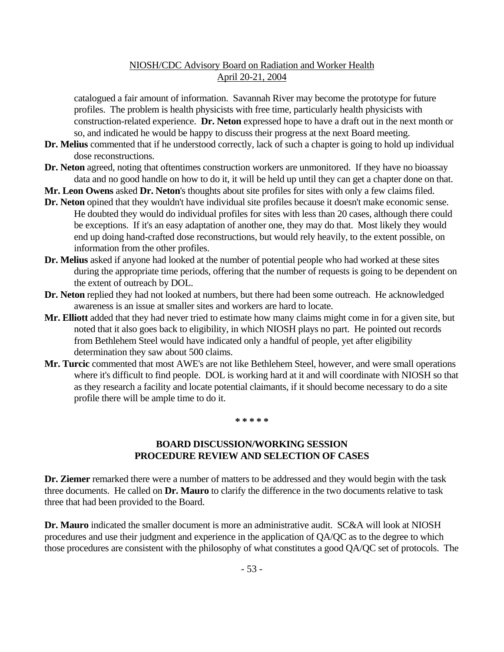catalogued a fair amount of information. Savannah River may become the prototype for future profiles. The problem is health physicists with free time, particularly health physicists with construction-related experience. **Dr. Neton** expressed hope to have a draft out in the next month or so, and indicated he would be happy to discuss their progress at the next Board meeting.

- **Dr. Melius** commented that if he understood correctly, lack of such a chapter is going to hold up individual dose reconstructions.
- **Dr. Neton** agreed, noting that oftentimes construction workers are unmonitored. If they have no bioassay data and no good handle on how to do it, it will be held up until they can get a chapter done on that.
- **Mr. Leon Owens** asked **Dr. Neton**'s thoughts about site profiles for sites with only a few claims filed.
- **Dr. Neton** opined that they wouldn't have individual site profiles because it doesn't make economic sense. He doubted they would do individual profiles for sites with less than 20 cases, although there could be exceptions. If it's an easy adaptation of another one, they may do that. Most likely they would end up doing hand-crafted dose reconstructions, but would rely heavily, to the extent possible, on information from the other profiles.
- **Dr. Melius** asked if anyone had looked at the number of potential people who had worked at these sites during the appropriate time periods, offering that the number of requests is going to be dependent on the extent of outreach by DOL.
- **Dr. Neton** replied they had not looked at numbers, but there had been some outreach. He acknowledged awareness is an issue at smaller sites and workers are hard to locate.
- **Mr. Elliott** added that they had never tried to estimate how many claims might come in for a given site, but noted that it also goes back to eligibility, in which NIOSH plays no part. He pointed out records from Bethlehem Steel would have indicated only a handful of people, yet after eligibility determination they saw about 500 claims.
- **Mr. Turcic** commented that most AWE's are not like Bethlehem Steel, however, and were small operations where it's difficult to find people. DOL is working hard at it and will coordinate with NIOSH so that as they research a facility and locate potential claimants, if it should become necessary to do a site profile there will be ample time to do it.

#### **\* \* \* \* \***

#### **BOARD DISCUSSION/WORKING SESSION PROCEDURE REVIEW AND SELECTION OF CASES**

**Dr. Ziemer** remarked there were a number of matters to be addressed and they would begin with the task three documents. He called on **Dr. Mauro** to clarify the difference in the two documents relative to task three that had been provided to the Board.

**Dr. Mauro** indicated the smaller document is more an administrative audit. SC&A will look at NIOSH procedures and use their judgment and experience in the application of QA/QC as to the degree to which those procedures are consistent with the philosophy of what constitutes a good QA/QC set of protocols. The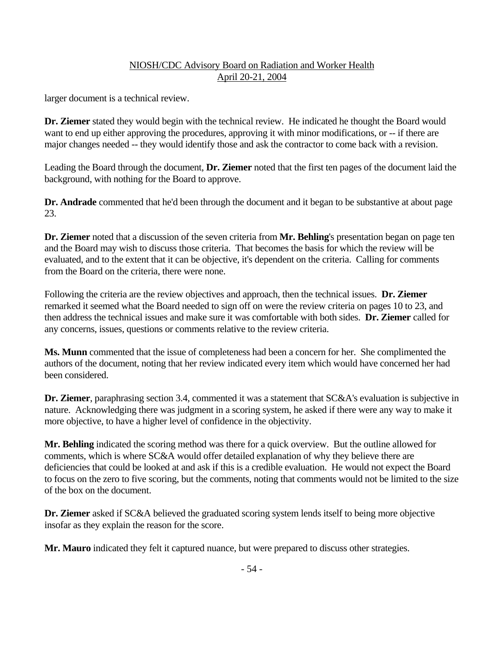larger document is a technical review.

**Dr. Ziemer** stated they would begin with the technical review. He indicated he thought the Board would want to end up either approving the procedures, approving it with minor modifications, or -- if there are major changes needed -- they would identify those and ask the contractor to come back with a revision.

Leading the Board through the document, **Dr. Ziemer** noted that the first ten pages of the document laid the background, with nothing for the Board to approve.

**Dr. Andrade** commented that he'd been through the document and it began to be substantive at about page 23.

**Dr. Ziemer** noted that a discussion of the seven criteria from **Mr. Behling**'s presentation began on page ten and the Board may wish to discuss those criteria. That becomes the basis for which the review will be evaluated, and to the extent that it can be objective, it's dependent on the criteria. Calling for comments from the Board on the criteria, there were none.

Following the criteria are the review objectives and approach, then the technical issues. **Dr. Ziemer** remarked it seemed what the Board needed to sign off on were the review criteria on pages 10 to 23, and then address the technical issues and make sure it was comfortable with both sides. **Dr. Ziemer** called for any concerns, issues, questions or comments relative to the review criteria.

**Ms. Munn** commented that the issue of completeness had been a concern for her. She complimented the authors of the document, noting that her review indicated every item which would have concerned her had been considered.

**Dr. Ziemer**, paraphrasing section 3.4, commented it was a statement that SC&A's evaluation is subjective in nature. Acknowledging there was judgment in a scoring system, he asked if there were any way to make it more objective, to have a higher level of confidence in the objectivity.

**Mr. Behling** indicated the scoring method was there for a quick overview. But the outline allowed for comments, which is where SC&A would offer detailed explanation of why they believe there are deficiencies that could be looked at and ask if this is a credible evaluation. He would not expect the Board to focus on the zero to five scoring, but the comments, noting that comments would not be limited to the size of the box on the document.

**Dr. Ziemer** asked if SC&A believed the graduated scoring system lends itself to being more objective insofar as they explain the reason for the score.

**Mr. Mauro** indicated they felt it captured nuance, but were prepared to discuss other strategies.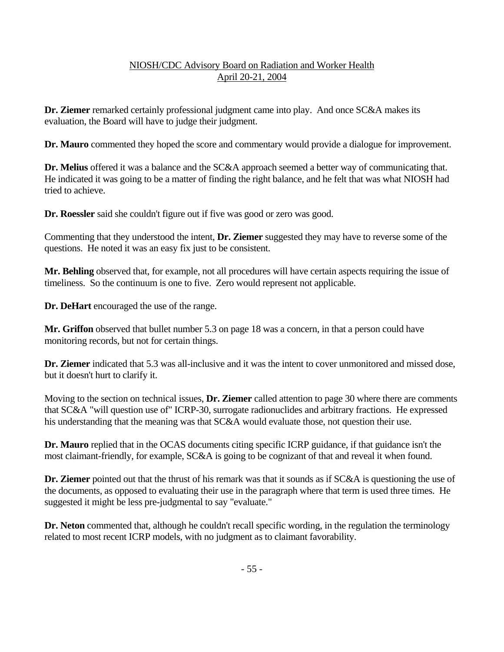**Dr. Ziemer** remarked certainly professional judgment came into play. And once SC&A makes its evaluation, the Board will have to judge their judgment.

**Dr. Mauro** commented they hoped the score and commentary would provide a dialogue for improvement.

**Dr. Melius** offered it was a balance and the SC&A approach seemed a better way of communicating that. He indicated it was going to be a matter of finding the right balance, and he felt that was what NIOSH had tried to achieve.

**Dr. Roessler** said she couldn't figure out if five was good or zero was good.

Commenting that they understood the intent, **Dr. Ziemer** suggested they may have to reverse some of the questions. He noted it was an easy fix just to be consistent.

**Mr. Behling** observed that, for example, not all procedures will have certain aspects requiring the issue of timeliness. So the continuum is one to five. Zero would represent not applicable.

**Dr. DeHart** encouraged the use of the range.

**Mr. Griffon** observed that bullet number 5.3 on page 18 was a concern, in that a person could have monitoring records, but not for certain things.

**Dr. Ziemer** indicated that 5.3 was all-inclusive and it was the intent to cover unmonitored and missed dose, but it doesn't hurt to clarify it.

Moving to the section on technical issues, **Dr. Ziemer** called attention to page 30 where there are comments that SC&A "will question use of" ICRP-30, surrogate radionuclides and arbitrary fractions. He expressed his understanding that the meaning was that SC&A would evaluate those, not question their use.

**Dr. Mauro** replied that in the OCAS documents citing specific ICRP guidance, if that guidance isn't the most claimant-friendly, for example, SC&A is going to be cognizant of that and reveal it when found.

**Dr. Ziemer** pointed out that the thrust of his remark was that it sounds as if SC&A is questioning the use of the documents, as opposed to evaluating their use in the paragraph where that term is used three times. He suggested it might be less pre-judgmental to say "evaluate."

**Dr. Neton** commented that, although he couldn't recall specific wording, in the regulation the terminology related to most recent ICRP models, with no judgment as to claimant favorability.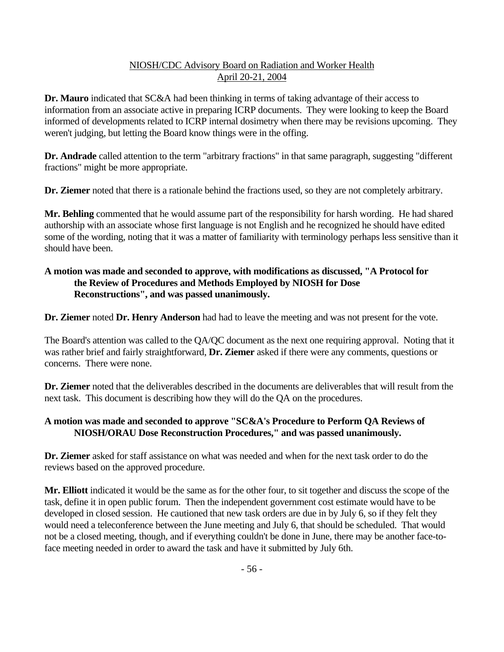**Dr. Mauro** indicated that SC&A had been thinking in terms of taking advantage of their access to information from an associate active in preparing ICRP documents. They were looking to keep the Board informed of developments related to ICRP internal dosimetry when there may be revisions upcoming. They weren't judging, but letting the Board know things were in the offing.

**Dr. Andrade** called attention to the term "arbitrary fractions" in that same paragraph, suggesting "different fractions" might be more appropriate.

**Dr. Ziemer** noted that there is a rationale behind the fractions used, so they are not completely arbitrary.

**Mr. Behling** commented that he would assume part of the responsibility for harsh wording. He had shared authorship with an associate whose first language is not English and he recognized he should have edited some of the wording, noting that it was a matter of familiarity with terminology perhaps less sensitive than it should have been.

# **A motion was made and seconded to approve, with modifications as discussed, "A Protocol for the Review of Procedures and Methods Employed by NIOSH for Dose Reconstructions", and was passed unanimously.**

**Dr. Ziemer** noted **Dr. Henry Anderson** had had to leave the meeting and was not present for the vote.

The Board's attention was called to the QA/QC document as the next one requiring approval. Noting that it was rather brief and fairly straightforward, **Dr. Ziemer** asked if there were any comments, questions or concerns. There were none.

**Dr. Ziemer** noted that the deliverables described in the documents are deliverables that will result from the next task. This document is describing how they will do the QA on the procedures.

# **A motion was made and seconded to approve "SC&A's Procedure to Perform QA Reviews of NIOSH/ORAU Dose Reconstruction Procedures," and was passed unanimously.**

**Dr. Ziemer** asked for staff assistance on what was needed and when for the next task order to do the reviews based on the approved procedure.

**Mr. Elliott** indicated it would be the same as for the other four, to sit together and discuss the scope of the task, define it in open public forum. Then the independent government cost estimate would have to be developed in closed session. He cautioned that new task orders are due in by July 6, so if they felt they would need a teleconference between the June meeting and July 6, that should be scheduled. That would not be a closed meeting, though, and if everything couldn't be done in June, there may be another face-toface meeting needed in order to award the task and have it submitted by July 6th.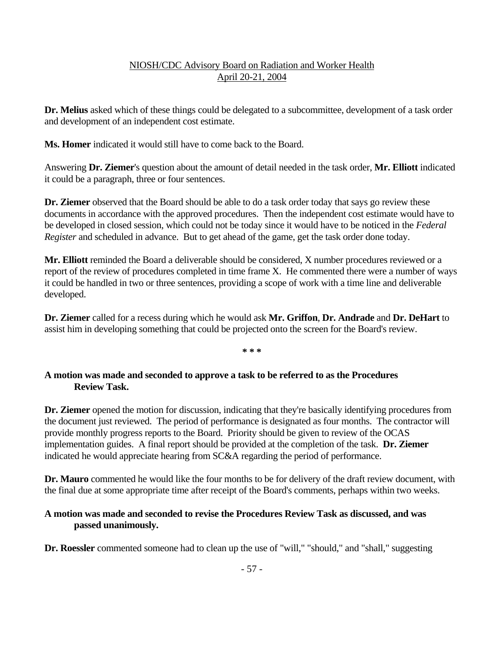**Dr. Melius** asked which of these things could be delegated to a subcommittee, development of a task order and development of an independent cost estimate.

**Ms. Homer** indicated it would still have to come back to the Board.

Answering **Dr. Ziemer**'s question about the amount of detail needed in the task order, **Mr. Elliott** indicated it could be a paragraph, three or four sentences.

**Dr. Ziemer** observed that the Board should be able to do a task order today that says go review these documents in accordance with the approved procedures. Then the independent cost estimate would have to be developed in closed session, which could not be today since it would have to be noticed in the *Federal Register* and scheduled in advance. But to get ahead of the game, get the task order done today.

**Mr. Elliott** reminded the Board a deliverable should be considered, X number procedures reviewed or a report of the review of procedures completed in time frame X. He commented there were a number of ways it could be handled in two or three sentences, providing a scope of work with a time line and deliverable developed.

**Dr. Ziemer** called for a recess during which he would ask **Mr. Griffon**, **Dr. Andrade** and **Dr. DeHart** to assist him in developing something that could be projected onto the screen for the Board's review.

 $* * *$ 

### **A motion was made and seconded to approve a task to be referred to as the Procedures Review Task.**

**Dr. Ziemer** opened the motion for discussion, indicating that they're basically identifying procedures from the document just reviewed. The period of performance is designated as four months. The contractor will provide monthly progress reports to the Board. Priority should be given to review of the OCAS implementation guides. A final report should be provided at the completion of the task. **Dr. Ziemer**  indicated he would appreciate hearing from SC&A regarding the period of performance.

**Dr. Mauro** commented he would like the four months to be for delivery of the draft review document, with the final due at some appropriate time after receipt of the Board's comments, perhaps within two weeks.

### **A motion was made and seconded to revise the Procedures Review Task as discussed, and was passed unanimously.**

**Dr. Roessler** commented someone had to clean up the use of "will," "should," and "shall," suggesting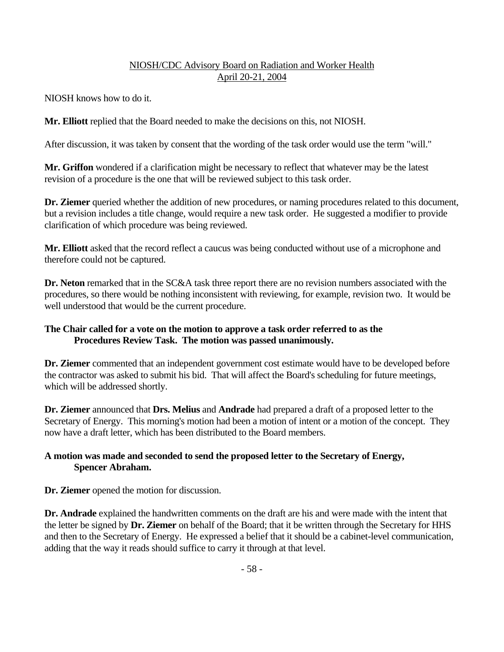NIOSH knows how to do it.

**Mr. Elliott** replied that the Board needed to make the decisions on this, not NIOSH.

After discussion, it was taken by consent that the wording of the task order would use the term "will."

**Mr. Griffon** wondered if a clarification might be necessary to reflect that whatever may be the latest revision of a procedure is the one that will be reviewed subject to this task order.

Dr. Ziemer queried whether the addition of new procedures, or naming procedures related to this document, but a revision includes a title change, would require a new task order. He suggested a modifier to provide clarification of which procedure was being reviewed.

**Mr. Elliott** asked that the record reflect a caucus was being conducted without use of a microphone and therefore could not be captured.

**Dr. Neton** remarked that in the SC&A task three report there are no revision numbers associated with the procedures, so there would be nothing inconsistent with reviewing, for example, revision two. It would be well understood that would be the current procedure.

### **The Chair called for a vote on the motion to approve a task order referred to as the Procedures Review Task. The motion was passed unanimously.**

**Dr. Ziemer** commented that an independent government cost estimate would have to be developed before the contractor was asked to submit his bid. That will affect the Board's scheduling for future meetings, which will be addressed shortly.

**Dr. Ziemer** announced that **Drs. Melius** and **Andrade** had prepared a draft of a proposed letter to the Secretary of Energy. This morning's motion had been a motion of intent or a motion of the concept. They now have a draft letter, which has been distributed to the Board members.

### **A motion was made and seconded to send the proposed letter to the Secretary of Energy, Spencer Abraham.**

**Dr. Ziemer** opened the motion for discussion.

**Dr. Andrade** explained the handwritten comments on the draft are his and were made with the intent that the letter be signed by **Dr. Ziemer** on behalf of the Board; that it be written through the Secretary for HHS and then to the Secretary of Energy. He expressed a belief that it should be a cabinet-level communication, adding that the way it reads should suffice to carry it through at that level.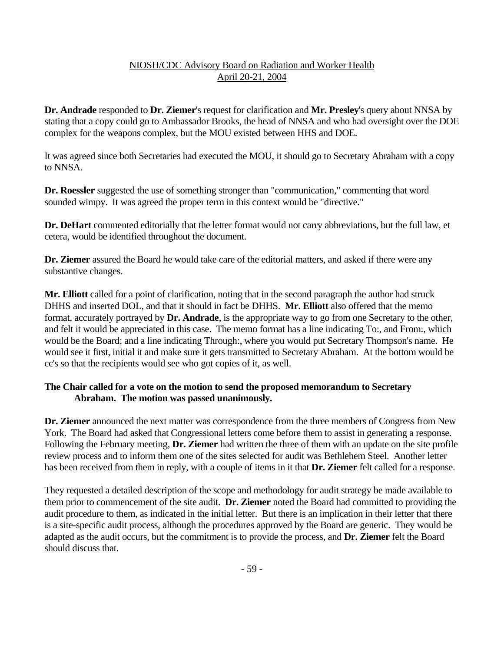**Dr. Andrade** responded to **Dr. Ziemer**'s request for clarification and **Mr. Presley**'s query about NNSA by stating that a copy could go to Ambassador Brooks, the head of NNSA and who had oversight over the DOE complex for the weapons complex, but the MOU existed between HHS and DOE.

It was agreed since both Secretaries had executed the MOU, it should go to Secretary Abraham with a copy to NNSA.

**Dr. Roessler** suggested the use of something stronger than "communication," commenting that word sounded wimpy. It was agreed the proper term in this context would be "directive."

**Dr. DeHart** commented editorially that the letter format would not carry abbreviations, but the full law, et cetera, would be identified throughout the document.

**Dr. Ziemer** assured the Board he would take care of the editorial matters, and asked if there were any substantive changes.

**Mr. Elliott** called for a point of clarification, noting that in the second paragraph the author had struck DHHS and inserted DOL, and that it should in fact be DHHS. **Mr. Elliott** also offered that the memo format, accurately portrayed by **Dr. Andrade**, is the appropriate way to go from one Secretary to the other, and felt it would be appreciated in this case. The memo format has a line indicating To:, and From:, which would be the Board; and a line indicating Through:, where you would put Secretary Thompson's name. He would see it first, initial it and make sure it gets transmitted to Secretary Abraham. At the bottom would be cc's so that the recipients would see who got copies of it, as well.

### **The Chair called for a vote on the motion to send the proposed memorandum to Secretary Abraham. The motion was passed unanimously.**

**Dr. Ziemer** announced the next matter was correspondence from the three members of Congress from New York. The Board had asked that Congressional letters come before them to assist in generating a response. Following the February meeting, **Dr. Ziemer** had written the three of them with an update on the site profile review process and to inform them one of the sites selected for audit was Bethlehem Steel. Another letter has been received from them in reply, with a couple of items in it that **Dr. Ziemer** felt called for a response.

They requested a detailed description of the scope and methodology for audit strategy be made available to them prior to commencement of the site audit. **Dr. Ziemer** noted the Board had committed to providing the audit procedure to them, as indicated in the initial letter. But there is an implication in their letter that there is a site-specific audit process, although the procedures approved by the Board are generic. They would be adapted as the audit occurs, but the commitment is to provide the process, and **Dr. Ziemer** felt the Board should discuss that.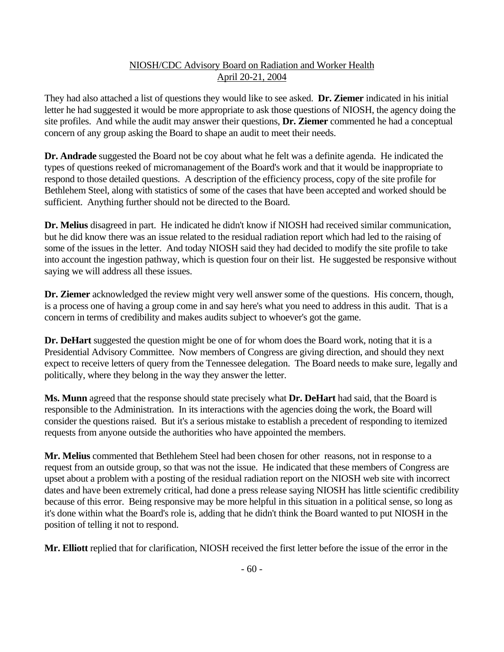They had also attached a list of questions they would like to see asked. **Dr. Ziemer** indicated in his initial letter he had suggested it would be more appropriate to ask those questions of NIOSH, the agency doing the site profiles. And while the audit may answer their questions, **Dr. Ziemer** commented he had a conceptual concern of any group asking the Board to shape an audit to meet their needs.

**Dr. Andrade** suggested the Board not be coy about what he felt was a definite agenda. He indicated the types of questions reeked of micromanagement of the Board's work and that it would be inappropriate to respond to those detailed questions. A description of the efficiency process, copy of the site profile for Bethlehem Steel, along with statistics of some of the cases that have been accepted and worked should be sufficient. Anything further should not be directed to the Board.

**Dr. Melius** disagreed in part. He indicated he didn't know if NIOSH had received similar communication, but he did know there was an issue related to the residual radiation report which had led to the raising of some of the issues in the letter. And today NIOSH said they had decided to modify the site profile to take into account the ingestion pathway, which is question four on their list. He suggested be responsive without saying we will address all these issues.

**Dr. Ziemer** acknowledged the review might very well answer some of the questions. His concern, though, is a process one of having a group come in and say here's what you need to address in this audit. That is a concern in terms of credibility and makes audits subject to whoever's got the game.

**Dr. DeHart** suggested the question might be one of for whom does the Board work, noting that it is a Presidential Advisory Committee. Now members of Congress are giving direction, and should they next expect to receive letters of query from the Tennessee delegation. The Board needs to make sure, legally and politically, where they belong in the way they answer the letter.

**Ms. Munn** agreed that the response should state precisely what **Dr. DeHart** had said, that the Board is responsible to the Administration. In its interactions with the agencies doing the work, the Board will consider the questions raised. But it's a serious mistake to establish a precedent of responding to itemized requests from anyone outside the authorities who have appointed the members.

**Mr. Melius** commented that Bethlehem Steel had been chosen for other reasons, not in response to a request from an outside group, so that was not the issue. He indicated that these members of Congress are upset about a problem with a posting of the residual radiation report on the NIOSH web site with incorrect dates and have been extremely critical, had done a press release saying NIOSH has little scientific credibility because of this error. Being responsive may be more helpful in this situation in a political sense, so long as it's done within what the Board's role is, adding that he didn't think the Board wanted to put NIOSH in the position of telling it not to respond.

**Mr. Elliott** replied that for clarification, NIOSH received the first letter before the issue of the error in the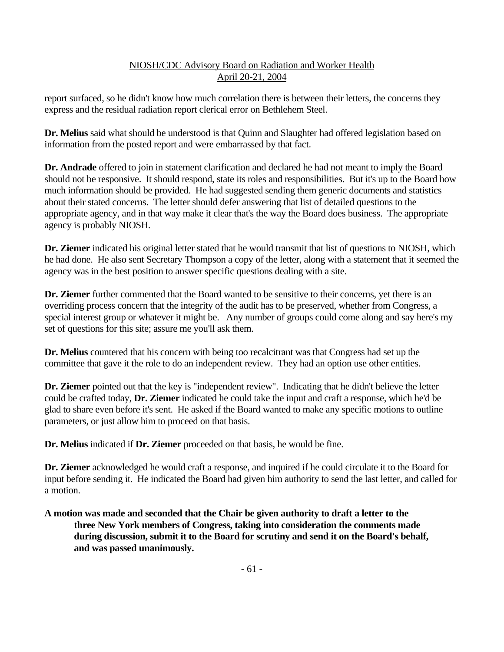report surfaced, so he didn't know how much correlation there is between their letters, the concerns they express and the residual radiation report clerical error on Bethlehem Steel.

**Dr. Melius** said what should be understood is that Quinn and Slaughter had offered legislation based on information from the posted report and were embarrassed by that fact.

**Dr. Andrade** offered to join in statement clarification and declared he had not meant to imply the Board should not be responsive. It should respond, state its roles and responsibilities. But it's up to the Board how much information should be provided. He had suggested sending them generic documents and statistics about their stated concerns. The letter should defer answering that list of detailed questions to the appropriate agency, and in that way make it clear that's the way the Board does business. The appropriate agency is probably NIOSH.

**Dr. Ziemer** indicated his original letter stated that he would transmit that list of questions to NIOSH, which he had done. He also sent Secretary Thompson a copy of the letter, along with a statement that it seemed the agency was in the best position to answer specific questions dealing with a site.

Dr. Ziemer further commented that the Board wanted to be sensitive to their concerns, yet there is an overriding process concern that the integrity of the audit has to be preserved, whether from Congress, a special interest group or whatever it might be. Any number of groups could come along and say here's my set of questions for this site; assure me you'll ask them.

**Dr. Melius** countered that his concern with being too recalcitrant was that Congress had set up the committee that gave it the role to do an independent review. They had an option use other entities.

**Dr. Ziemer** pointed out that the key is "independent review". Indicating that he didn't believe the letter could be crafted today, **Dr. Ziemer** indicated he could take the input and craft a response, which he'd be glad to share even before it's sent. He asked if the Board wanted to make any specific motions to outline parameters, or just allow him to proceed on that basis.

**Dr. Melius** indicated if **Dr. Ziemer** proceeded on that basis, he would be fine.

**Dr. Ziemer** acknowledged he would craft a response, and inquired if he could circulate it to the Board for input before sending it. He indicated the Board had given him authority to send the last letter, and called for a motion.

# **A motion was made and seconded that the Chair be given authority to draft a letter to the three New York members of Congress, taking into consideration the comments made during discussion, submit it to the Board for scrutiny and send it on the Board's behalf, and was passed unanimously.**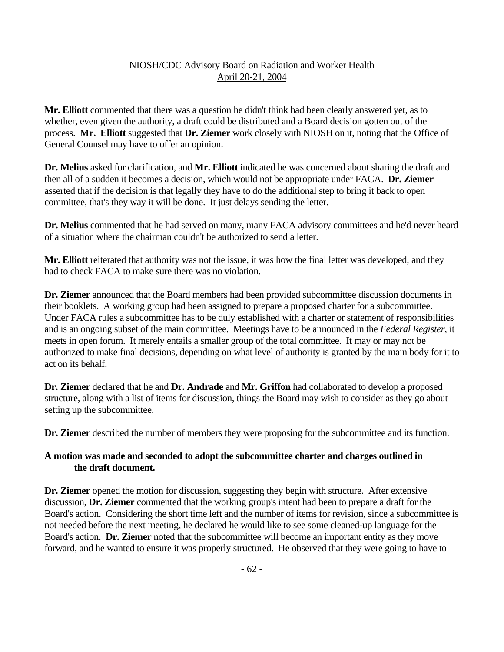**Mr. Elliott** commented that there was a question he didn't think had been clearly answered yet, as to whether, even given the authority, a draft could be distributed and a Board decision gotten out of the process. **Mr. Elliott** suggested that **Dr. Ziemer** work closely with NIOSH on it, noting that the Office of General Counsel may have to offer an opinion.

**Dr. Melius** asked for clarification, and **Mr. Elliott** indicated he was concerned about sharing the draft and then all of a sudden it becomes a decision, which would not be appropriate under FACA. **Dr. Ziemer** asserted that if the decision is that legally they have to do the additional step to bring it back to open committee, that's they way it will be done. It just delays sending the letter.

**Dr. Melius** commented that he had served on many, many FACA advisory committees and he'd never heard of a situation where the chairman couldn't be authorized to send a letter.

Mr. Elliott reiterated that authority was not the issue, it was how the final letter was developed, and they had to check FACA to make sure there was no violation.

**Dr. Ziemer** announced that the Board members had been provided subcommittee discussion documents in their booklets. A working group had been assigned to prepare a proposed charter for a subcommittee. Under FACA rules a subcommittee has to be duly established with a charter or statement of responsibilities and is an ongoing subset of the main committee. Meetings have to be announced in the *Federal Register*, it meets in open forum. It merely entails a smaller group of the total committee. It may or may not be authorized to make final decisions, depending on what level of authority is granted by the main body for it to act on its behalf.

**Dr. Ziemer** declared that he and **Dr. Andrade** and **Mr. Griffon** had collaborated to develop a proposed structure, along with a list of items for discussion, things the Board may wish to consider as they go about setting up the subcommittee.

**Dr. Ziemer** described the number of members they were proposing for the subcommittee and its function.

### **A motion was made and seconded to adopt the subcommittee charter and charges outlined in the draft document.**

**Dr. Ziemer** opened the motion for discussion, suggesting they begin with structure. After extensive discussion, **Dr. Ziemer** commented that the working group's intent had been to prepare a draft for the Board's action. Considering the short time left and the number of items for revision, since a subcommittee is not needed before the next meeting, he declared he would like to see some cleaned-up language for the Board's action. **Dr. Ziemer** noted that the subcommittee will become an important entity as they move forward, and he wanted to ensure it was properly structured. He observed that they were going to have to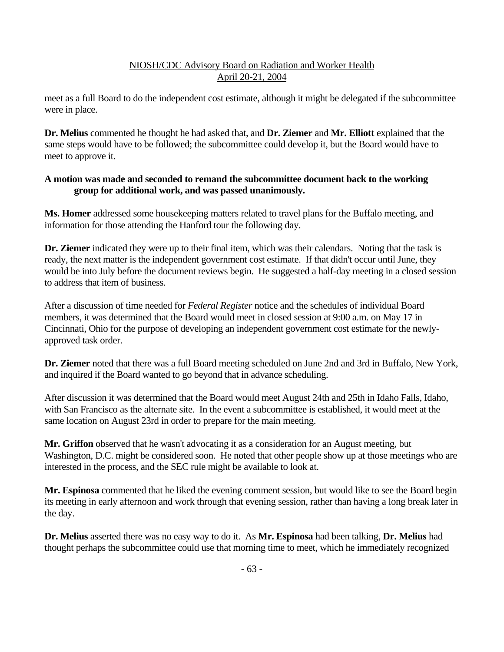meet as a full Board to do the independent cost estimate, although it might be delegated if the subcommittee were in place.

**Dr. Melius** commented he thought he had asked that, and **Dr. Ziemer** and **Mr. Elliott** explained that the same steps would have to be followed; the subcommittee could develop it, but the Board would have to meet to approve it.

### **A motion was made and seconded to remand the subcommittee document back to the working group for additional work, and was passed unanimously.**

**Ms. Homer** addressed some housekeeping matters related to travel plans for the Buffalo meeting, and information for those attending the Hanford tour the following day.

**Dr. Ziemer** indicated they were up to their final item, which was their calendars. Noting that the task is ready, the next matter is the independent government cost estimate. If that didn't occur until June, they would be into July before the document reviews begin. He suggested a half-day meeting in a closed session to address that item of business.

After a discussion of time needed for *Federal Register* notice and the schedules of individual Board members, it was determined that the Board would meet in closed session at 9:00 a.m. on May 17 in Cincinnati, Ohio for the purpose of developing an independent government cost estimate for the newlyapproved task order.

**Dr. Ziemer** noted that there was a full Board meeting scheduled on June 2nd and 3rd in Buffalo, New York, and inquired if the Board wanted to go beyond that in advance scheduling.

After discussion it was determined that the Board would meet August 24th and 25th in Idaho Falls, Idaho, with San Francisco as the alternate site. In the event a subcommittee is established, it would meet at the same location on August 23rd in order to prepare for the main meeting.

**Mr. Griffon** observed that he wasn't advocating it as a consideration for an August meeting, but Washington, D.C. might be considered soon. He noted that other people show up at those meetings who are interested in the process, and the SEC rule might be available to look at.

**Mr. Espinosa** commented that he liked the evening comment session, but would like to see the Board begin its meeting in early afternoon and work through that evening session, rather than having a long break later in the day.

**Dr. Melius** asserted there was no easy way to do it. As **Mr. Espinosa** had been talking, **Dr. Melius** had thought perhaps the subcommittee could use that morning time to meet, which he immediately recognized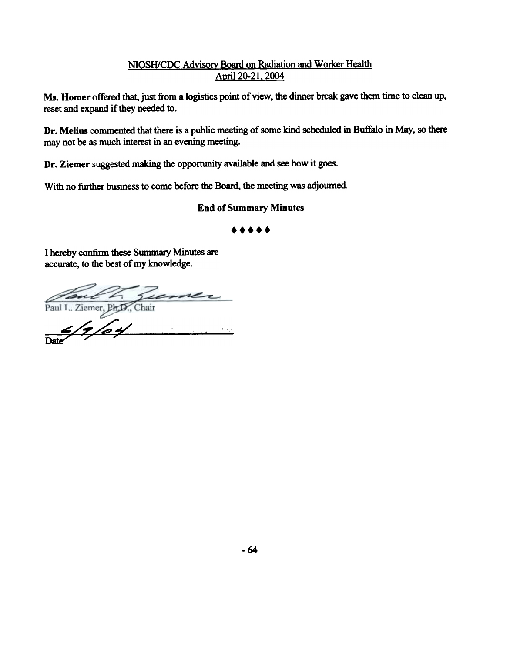Ms. Homer offered that, just from a logistics point of view, the dinner break gave them time to clean up, reset and expand if they needed to.

Dr. Melius commented that there is a public meeting of some kind scheduled in Buffalo in May, so there may not be as much interest in an evening meeting.

Dr. Ziemer suggested making the opportunity available and see how it goes.

With no further business to come before the Board, the meeting was adjourned.

# End of Summary Minutes

### .....

I hereby confirm these Summary Minutes are accurate, to the best of my knowledge.

 $Paul I., Ziemer, BFD., Chair$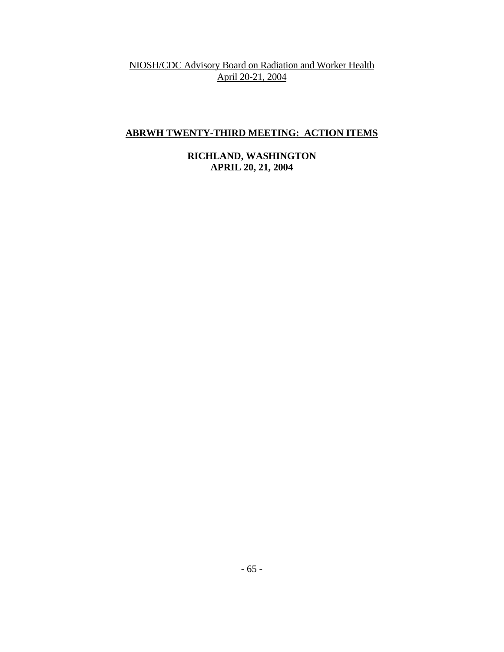# **ABRWH TWENTY-THIRD MEETING: ACTION ITEMS**

**RICHLAND, WASHINGTON APRIL 20, 21, 2004**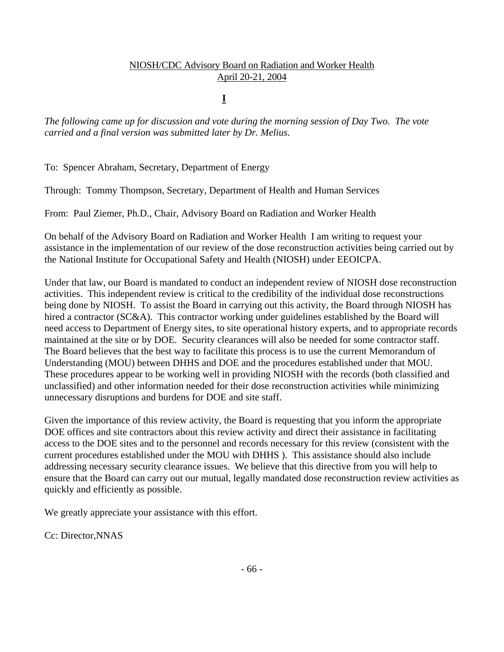# **I**

*The following came up for discussion and vote during the morning session of Day Two. The vote carried and a final version was submitted later by Dr. Melius.* 

To: Spencer Abraham, Secretary, Department of Energy

Through: Tommy Thompson, Secretary, Department of Health and Human Services

From: Paul Ziemer, Ph.D., Chair, Advisory Board on Radiation and Worker Health

On behalf of the Advisory Board on Radiation and Worker Health I am writing to request your assistance in the implementation of our review of the dose reconstruction activities being carried out by the National Institute for Occupational Safety and Health (NIOSH) under EEOICPA.

Under that law, our Board is mandated to conduct an independent review of NIOSH dose reconstruction activities. This independent review is critical to the credibility of the individual dose reconstructions being done by NIOSH. To assist the Board in carrying out this activity, the Board through NIOSH has hired a contractor (SC&A). This contractor working under guidelines established by the Board will need access to Department of Energy sites, to site operational history experts, and to appropriate records maintained at the site or by DOE. Security clearances will also be needed for some contractor staff. The Board believes that the best way to facilitate this process is to use the current Memorandum of Understanding (MOU) between DHHS and DOE and the procedures established under that MOU. These procedures appear to be working well in providing NIOSH with the records (both classified and unclassified) and other information needed for their dose reconstruction activities while minimizing unnecessary disruptions and burdens for DOE and site staff.

Given the importance of this review activity, the Board is requesting that you inform the appropriate DOE offices and site contractors about this review activity and direct their assistance in facilitating access to the DOE sites and to the personnel and records necessary for this review (consistent with the current procedures established under the MOU with DHHS ). This assistance should also include addressing necessary security clearance issues. We believe that this directive from you will help to ensure that the Board can carry out our mutual, legally mandated dose reconstruction review activities as quickly and efficiently as possible.

We greatly appreciate your assistance with this effort.

Cc: Director,NNAS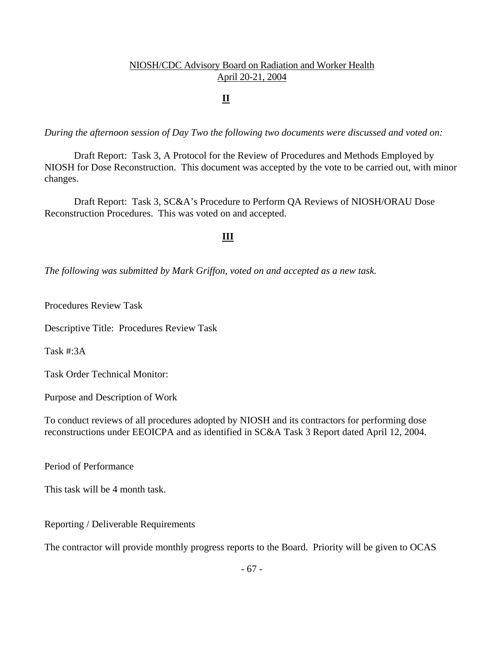# **II**

*During the afternoon session of Day Two the following two documents were discussed and voted on:* 

 Draft Report: Task 3, A Protocol for the Review of Procedures and Methods Employed by NIOSH for Dose Reconstruction. This document was accepted by the vote to be carried out, with minor changes.

 Draft Report: Task 3, SC&A's Procedure to Perform QA Reviews of NIOSH/ORAU Dose Reconstruction Procedures. This was voted on and accepted.

#### **III**

*The following was submitted by Mark Griffon, voted on and accepted as a new task.* 

Procedures Review Task

Descriptive Title: Procedures Review Task

Task #:3A

Task Order Technical Monitor:

Purpose and Description of Work

To conduct reviews of all procedures adopted by NIOSH and its contractors for performing dose reconstructions under EEOICPA and as identified in SC&A Task 3 Report dated April 12, 2004.

Period of Performance

This task will be 4 month task.

Reporting / Deliverable Requirements

The contractor will provide monthly progress reports to the Board. Priority will be given to OCAS